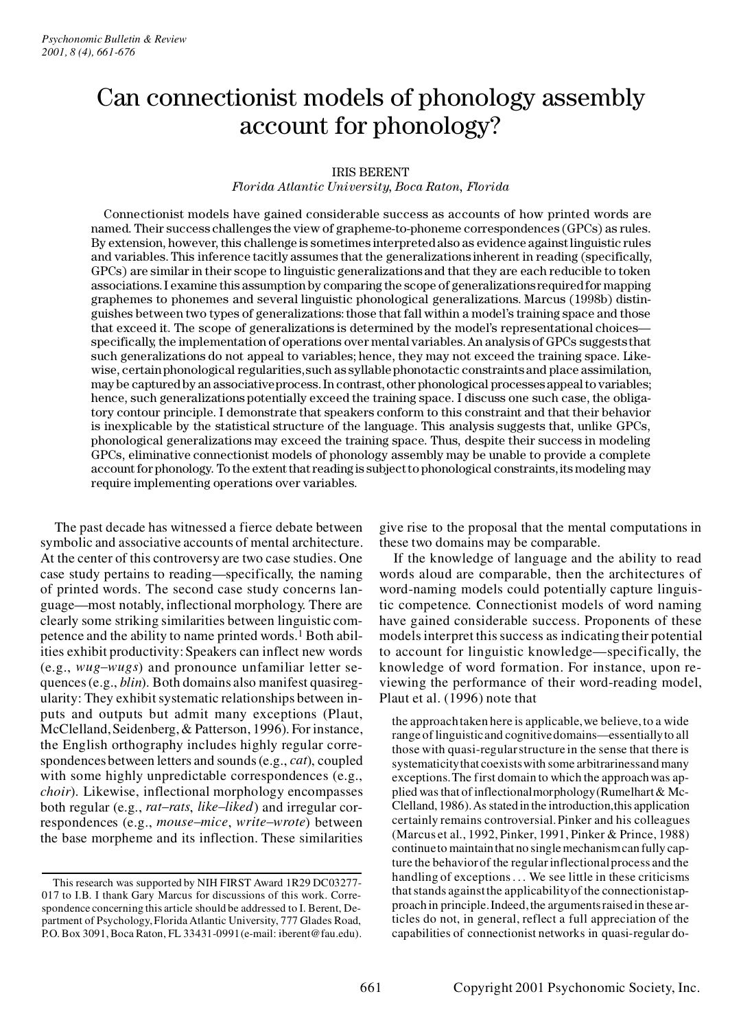# Can connectionist models of phonology assembly account for phonology?

#### IRIS BERENT

*Florida Atlantic University, Boca Raton, Florida*

Connectionist models have gained considerable success as accounts of how printed words are named. Their success challenges the view of grapheme-to-phoneme correspondences (GPCs) as rules. By extension, however, this challenge is sometimes interpreted also as evidence against linguistic rules and variables. This inference tacitly assumes that the generalizations inherent in reading (specifically, GPCs) are similar in their scope to linguistic generalizations and that they are each reducible to token associations. I examine this assumption by comparing the scope of generalizations required for mapping graphemes to phonemes and several linguistic phonological generalizations. Marcus (1998b) distinguishes between two types of generalizations: those that fall within a model's training space and those that exceed it. The scope of generalizations is determined by the model's representational choices specifically, the implementation of operations over mental variables. An analysis of GPCs suggests that such generalizations do not appeal to variables; hence, they may not exceed the training space. Likewise, certain phonological regularities, such as syllable phonotactic constraints and place assimilation, may be captured by an associative process. In contrast, other phonological processes appeal to variables; hence, such generalizations potentially exceed the training space. I discuss one such case, the obligatory contour principle. I demonstrate that speakers conform to this constraint and that their behavior is inexplicable by the statistical structure of the language. This analysis suggests that, unlike GPCs, phonological generalizations may exceed the training space. Thus, despite their success in modeling GPCs, eliminative connectionist models of phonology assembly may be unable to provide a complete account for phonology. To the extent that reading is subject to phonological constraints, its modeling may require implementing operations over variables.

The past decade has witnessed a fierce debate between symbolic and associative accounts of mental architecture. At the center of this controversy are two case studies. One case study pertains to reading—specifically, the naming of printed words. The second case study concerns language—most notably, inflectional morphology. There are clearly some striking similarities between linguistic competence and the ability to name printed words.<sup>1</sup> Both abilities exhibit productivity: Speakers can inflect new words (e.g., *wug–wugs*) and pronounce unfamiliar letter sequences (e.g., *blin*). Both domains also manifest quasiregularity: They exhibit systematic relationships between inputs and outputs but admit many exceptions (Plaut, McClelland, Seidenberg, & Patterson, 1996). For instance, the English orthography includes highly regular correspondences between letters and sounds (e.g., *cat*), coupled with some highly unpredictable correspondences (e.g., *choir*). Likewise, inflectional morphology encompasses both regular (e.g., *rat–rats*, *like–liked*) and irregular correspondences (e.g., *mouse–mice*, *write–wrote*) between the base morpheme and its inflection. These similarities

give rise to the proposal that the mental computations in these two domains may be comparable.

If the knowledge of language and the ability to read words aloud are comparable, then the architectures of word-naming models could potentially capture linguistic competence. Connectionist models of word naming have gained considerable success. Proponents of these models interpret this success as indicating their potential to account for linguistic knowledge—specifically, the knowledge of word formation. For instance, upon reviewing the performance of their word-reading model, Plaut et al. (1996) note that

the approach taken here is applicable, we believe, to a wide range of linguistic and cognitive domains—essentially to all those with quasi-regularstructure in the sense that there is systematicity that coexists with some arbitrariness and many exceptions. The first domain to which the approach was applied was that of inflectional morphology (Rumelhart & Mc-Clelland, 1986). As stated in the introduction, this application certainly remains controversial. Pinker and his colleagues (Marcus et al., 1992, Pinker, 1991, Pinker & Prince, 1988) continue to maintain that no single mechanism can fully capture the behavior of the regular inflectional process and the handling of exceptions ... We see little in these criticisms that stands against the applicability of the connectionist approach in principle. Indeed, the arguments raised in these articles do not, in general, reflect a full appreciation of the capabilities of connectionist networks in quasi-regular do-

This research was supported by NIH FIRST Award 1R29 DC03277- 017 to I.B. I thank Gary Marcus for discussions of this work. Correspondence concerning this article should be addressed to I. Berent, Department of Psychology, Florida Atlantic University, 777 Glades Road, P.O. Box 3091, Boca Raton, FL 33431-0991 (e-mail: iberent@fau.edu).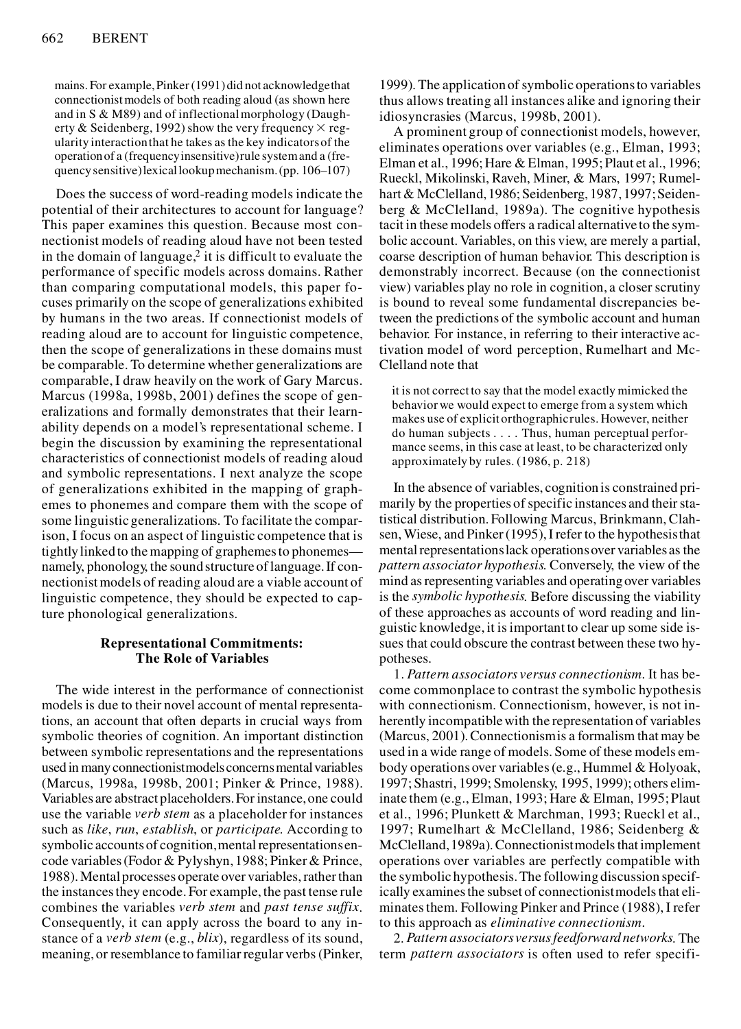mains. For example, Pinker (1991) did not acknowledge that connectionist models of both reading aloud (as shown here and in S & M89) and of inflectionalmorphology (Daugherty & Seidenberg, 1992) show the very frequency  $\times$  regularity interaction that he takes as the key indicators of the operation of a (frequency insensitive) rule system and a (frequency sensitive) lexical lookup mechanism. (pp. 106–107)

Does the success of word-reading models indicate the potential of their architectures to account for language? This paper examines this question. Because most connectionist models of reading aloud have not been tested in the domain of language, $2$  it is difficult to evaluate the  $\alpha$ performance of specific models across domains. Rather than comparing computational models, this paper fo cuses primarily on the scope of generalizations exhibited by humans in the two areas. If connectionist models of reading aloud are to account for linguistic competence, then the scope of generalizations in these domains must be comparable. To determine whether generalizations are comparable, I draw heavily on the work of Gary Marcus. Marcus (1998a, 1998b, 2001) defines the scope of generalizations and formally demonstrates that their learnability depends on a model's representational scheme. I begin the discussion by examining the representational characteristics of connectionist models of reading aloud and symbolic representations. I next analyze the scope of generalizations exhibited in the mapping of graphemes to phonemes and compare them with the scope of some linguistic generalizations. To facilitate the comparison, I focus on an aspect of linguistic competence that is tightly linked to the mapping of graphemes to phonemes namely, phonology, the sound structure of language. If connectionist models of reading aloud are a viable account of linguistic competence, they should be expected to capture phonological generalizations.

## **Representational Commitments: The Role of Variables**

The wide interest in the performance of connectionist models is due to their novel account of mental representations, an account that often departs in crucial ways from symbolic theories of cognition. An important distinction between symbolic representations and the representations used in many connectionist models concerns mental variables (Marcus, 1998a, 1998b, 2001; Pinker & Prince, 1988). Variables are abstract placeholders. For instance, one could use the variable *verb stem* as a placeholder for instances such as *like*, *run*, *establish*, or *participate*. According to symbolic accounts of cognition, mental representations encode variables (Fodor & Pylyshyn, 1988; Pinker & Prince, 1988). Mental processes operate over variables, rather than the instances they encode. For example, the past tense rule combines the variables *verb stem* and *past tense suffix*. Consequently, it can apply across the board to any instance of a *verb stem* (e.g., *blix*), regardless of its sound, meaning, or resemblance to familiar regular verbs (Pinker,

1999). The application of symbolic operations to variables thus allows treating all instances alike and ignoring their idiosyncrasies (Marcus, 1998b, 2001).

A prominent group of connectionist models, however, eliminates operations over variables (e.g., Elman, 1993; Elman et al., 1996; Hare & Elman, 1995; Plaut et al., 1996; Rueckl, Mikolinski, Raveh, Miner, & Mars, 1997; Rumelhart & McClelland, 1986; Seidenberg, 1987, 1997; Seidenberg & McClelland, 1989a). The cognitive hypothesis tacit in these models offers a radical alternative to the symbolic account. Variables, on this view, are merely a partial, coarse description of human behavior. This description is demonstrably incorrect. Because (on the connectionist view) variables play no role in cognition, a closer scrutiny is bound to reveal some fundamental discrepancies between the predictions of the symbolic account and human behavior. For instance, in referring to their interactive activation model of word perception, Rumelhart and Mc-Clelland note that

it is not correct to say that the model exactly mimicked the behavior we would expect to emerge from a system which makes use of explicit orthographicrules. However, neither do human subjects . . . . Thus, human perceptual perfor mance seems, in this case at least, to be characterized only approximately by rules. (1986, p. 218)

In the absence of variables, cognition is constrained primarily by the properties of specific instances and their statistical distribution. Following Marcus, Brinkmann, Clahsen, Wiese, and Pinker (1995), I refer to the hypothesis that mental representations lack operations over variables as the *pattern associator hypothesis*. Conversely, the view of the mind as representing variables and operating over variables is the *symbolic hypothesis*. Before discussing the viability of these approaches as accounts of word reading and linguistic knowledge, it is important to clear up some side issues that could obscure the contrast between these two hypotheses.

1. *Pattern associators versus connectionism*. It has become commonplace to contrast the symbolic hypothesis with connectionism. Connectionism, however, is not inherently incompatible with the representation of variables (Marcus, 2001). Connectionism is a formalism that may be used in a wide range of models. Some of these models embody operations over variables (e.g., Hummel & Holyoak, 1997; Shastri, 1999; Smolensky, 1995, 1999); others eliminate them (e.g., Elman, 1993; Hare & Elman, 1995; Plaut et al., 1996; Plunkett & Marchman, 1993; Rueckl et al., 1997; Rumelhart & McClelland, 1986; Seidenberg & McClelland, 1989a). Connectionist models that implement operations over variables are perfectly compatible with the symbolic hypothesis. The following discussion specifically examines the subset of connectionist models that eliminates them. Following Pinker and Prince (1988), I refer to this approach as *eliminative connectionism*.

2. *Pattern associators versus feedforward networks*. The term *pattern associators* is often used to refer specifi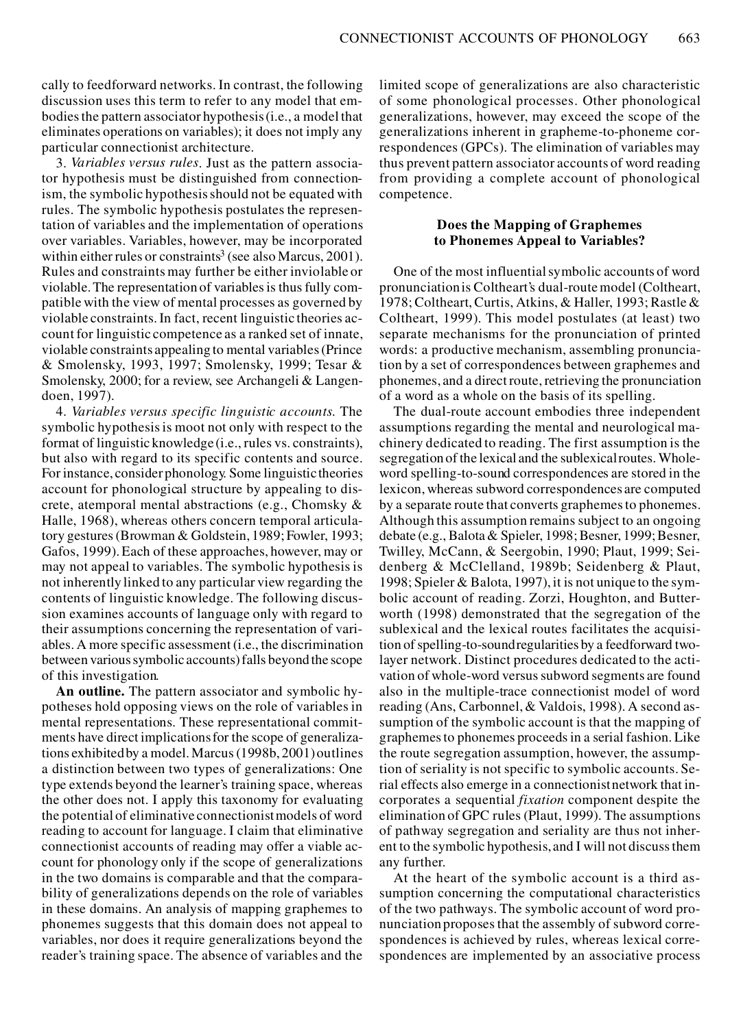cally to feedforward networks. In contrast, the following discussion uses this term to refer to any model that embodies the pattern associator hypothesis (i.e., a model that eliminates operations on variables); it does not imply any particular connectionist architecture.

3. *Variables versus rules*. Just as the pattern associator hypothesis must be distinguished from connectionism, the symbolic hypothesis should not be equated with rules. The symbolic hypothesis postulates the representation of variables and the implementation of operations over variables. Variables, however, may be incorporated within either rules or constraints<sup>3</sup> (see also Marcus, 2001). Rules and constraints may further be either inviolable or violable. The representation of variables is thus fully compatible with the view of mental processes as governed by violable constraints. In fact, recent linguistic theories account for linguistic competence as a ranked set of innate, violable constraints appealing to mental variables (Prince & Smolensky, 1993, 1997; Smolensky, 1999; Tesar & Smolensky, 2000; for a review, see Archangeli & Langendoen, 1997).

4. *Variables versus specific linguistic accounts*. The symbolic hypothesis is moot not only with respect to the format of linguistic knowledge (i.e., rules vs. constraints), but also with regard to its specific contents and source. For instance, consider phonology. Some linguistic theories account for phonological structure by appealing to discrete, atemporal mental abstractions (e.g., Chomsky & Halle, 1968), whereas others concern temporal articulatory gestures (Browman & Goldstein, 1989; Fowler, 1993; Gafos, 1999). Each of these approaches, however, may or may not appeal to variables. The symbolic hypothesis is not inherently linked to any particular view regarding the contents of linguistic knowledge. The following discussion examines accounts of language only with regard to their assumptions concerning the representation of variables. A more specific assessment (i.e., the discrimination between various symbolic accounts) falls beyond the scope of this investigation.

**An outline.** The pattern associator and symbolic hypotheses hold opposing views on the role of variables in mental representations. These representational commitments have direct implications for the scope of generalizations exhibited by a model. Marcus (1998b, 2001) outlines a distinction between two types of generalizations: One type extends beyond the learner's training space, whereas the other does not. I apply this taxonomy for evaluating the potential of eliminative connectionistmodels of word reading to account for language. I claim that eliminative connectionist accounts of reading may offer a viable account for phonology only if the scope of generalizations in the two domains is comparable and that the comparability of generalizations depends on the role of variables in these domains. An analysis of mapping graphemes to phonemes suggests that this domain does not appeal to variables, nor does it require generalizations beyond the reader's training space. The absence of variables and the

limited scope of generalizations are also characteristic of some phonological processes. Other phonological generalizations, however, may exceed the scope of the generalizations inherent in grapheme-to-phoneme correspondences (GPCs). The elimination of variables may thus prevent pattern associator accounts of word reading from providing a complete account of phonological competence.

## **Does the Mapping of Graphemes to Phonemes Appeal to Variables?**

One of the most influential symbolic accounts of word pronunciationis Coltheart's dual-route model (Coltheart, 1978; Coltheart, Curtis, Atkins, & Haller, 1993; Rastle & Coltheart, 1999). This model postulates (at least) two separate mechanisms for the pronunciation of printed words: a productive mechanism, assembling pronunciation by a set of correspondences between graphemes and phonemes, and a direct route, retrieving the pronunciation of a word as a whole on the basis of its spelling.

The dual-route account embodies three independent assumptions regarding the mental and neurological machinery dedicated to reading. The first assumption is the segregation of the lexical and the sublexical routes. Wholeword spelling-to-sound correspondences are stored in the lexicon, whereas subword correspondences are computed by a separate route that converts graphemes to phonemes. Although this assumption remains subject to an ongoing debate (e.g., Balota & Spieler, 1998; Besner, 1999; Besner, Twilley, McCann, & Seergobin, 1990; Plaut, 1999; Seidenberg & McClelland, 1989b; Seidenberg & Plaut, 1998; Spieler & Balota, 1997), it is not unique to the symbolic account of reading. Zorzi, Houghton, and Butterworth (1998) demonstrated that the segregation of the sublexical and the lexical routes facilitates the acquisition of spelling-to-sound regularities by a feedforward twolayer network. Distinct procedures dedicated to the activation of whole-word versus subword segments are found also in the multiple-trace connectionist model of word reading (Ans, Carbonnel, & Valdois, 1998). A second assumption of the symbolic account is that the mapping of graphemes to phonemes proceeds in a serial fashion. Like the route segregation assumption, however, the assumption of seriality is not specific to symbolic accounts. Serial effects also emerge in a connectionist network that incorporates a sequential *fixation* component despite the elimination of GPC rules (Plaut, 1999). The assumptions of pathway segregation and seriality are thus not inherent to the symbolic hypothesis, and I will not discuss them any further.

At the heart of the symbolic account is a third assumption concerning the computational characteristics of the two pathways. The symbolic account of word pronunciationproposes that the assembly of subword correspondences is achieved by rules, whereas lexical correspondences are implemented by an associative process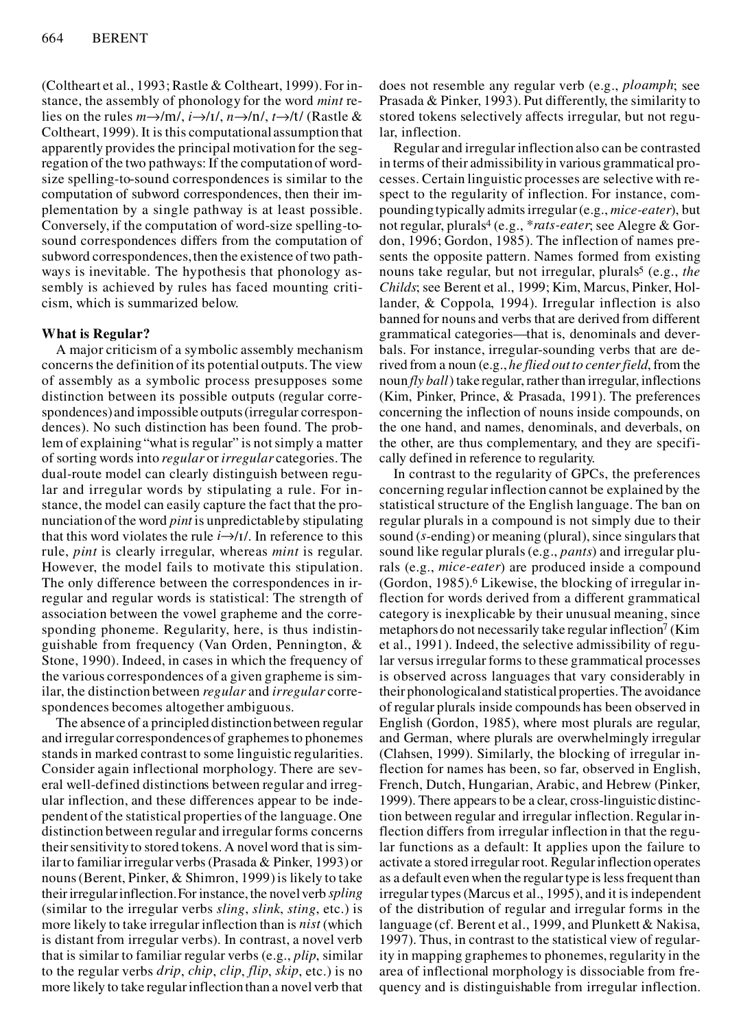(Coltheart et al., 1993; Rastle & Coltheart, 1999). For instance, the assembly of phonology for the word *mint* relies on the rules  $m \rightarrow/m/$ ,  $i \rightarrow/1/$ ,  $n \rightarrow/n/$ ,  $t \rightarrow/1/$  (Rastle & Coltheart, 1999). It is this computational assumption that apparently provides the principal motivation for the segregation of the two pathways: If the computation of wordsize spelling-to-sound correspondences is similar to the computation of subword correspondences, then their implementation by a single pathway is at least possible. Conversely, if the computation of word-size spelling-to sound correspondences differs from the computation of subword correspondences, then the existence of two pathways is inevitable. The hypothesis that phonology assembly is achieved by rules has faced mounting criticism, which is summarized below.

#### **What is Regular?**

A major criticism of a symbolic assembly mechanism concerns the definition of its potential outputs. The view of assembly as a symbolic process presupposes some distinction between its possible outputs (regular correspondences) and impossible outputs (irregular correspondences). No such distinction has been found. The problem of explaining "what is regular" is not simply a matter of sorting words into *regular* or *irregular* categories. The dual-route model can clearly distinguish between regular and irregular words by stipulating a rule. For instance, the model can easily capture the fact that the pronunciation of the word *pint* is unpredictable by stipulating that this word violates the rule  $i \rightarrow$ /I/. In reference to this rule, *pint* is clearly irregular, whereas *mint* is regular. However, the model fails to motivate this stipulation. The only difference between the correspondences in irregular and regular words is statistical: The strength of association between the vowel grapheme and the corresponding phoneme. Regularity, here, is thus indistinguishable from frequency (Van Orden, Pennington, & Stone, 1990). Indeed, in cases in which the frequency of the various correspondences of a given grapheme is similar, the distinction between *regular* and *irregular* correspondences becomes altogether ambiguous.

The absence of a principled distinction between regular and irregular correspondences of graphemes to phonemes stands in marked contrast to some linguistic regularities. Consider again inflectional morphology. There are several well-defined distinctions between regular and irregular inflection, and these differences appear to be independent of the statistical properties of the language. One distinction between regular and irregular forms concerns their sensitivity to stored tokens. A novel word that is similar to familiar irregular verbs (Prasada & Pinker, 1993) or nouns (Berent, Pinker, & Shimron, 1999) is likely to take their irregular inflection. For instance, the novel verb *spling* (similar to the irregular verbs *sling*, *slink*, *sting*, etc.) is more likely to take irregular inflection than is *nist* (which is distant from irregular verbs). In contrast, a novel verb that is similar to familiar regular verbs (e.g., *plip*, similar to the regular verbs *drip*, *chip*, *clip*, *flip*, *skip*, etc.) is no more likely to take regular inflection than a novel verb that

does not resemble any regular verb (e.g., *ploamph*; see Prasada & Pinker, 1993). Put differently, the similarity to stored tokens selectively affects irregular, but not regular, inflection.

Regular and irregular inflection also can be contrasted in terms of their admissibility in various grammatical processes. Certain linguistic processes are selective with respect to the regularity of inflection. For instance, compounding typically admits irregular (e.g., *mice-eater*), but not regular, plurals<sup>4</sup> (e.g., *\*rats-eater*; see Alegre & Gordon, 1996; Gordon, 1985). The inflection of names presents the opposite pattern. Names formed from existing nouns take regular, but not irregular, plurals<sup>5</sup> (e.g., *the Childs*; see Berent et al., 1999; Kim, Marcus, Pinker, Hollander, & Coppola, 1994). Irregular inflection is also banned for nouns and verbs that are derived from different grammatical categories—that is, denominals and deverbals. For instance, irregular-sounding verbs that are derived from a noun (e.g., *he flied out to center field*, from the noun *fly ball*) take regular, rather than irregular, inflections (Kim, Pinker, Prince, & Prasada, 1991). The preferences concerning the inflection of nouns inside compounds, on the one hand, and names, denominals, and deverbals, on the other, are thus complementary, and they are specifically defined in reference to regularity.

In contrast to the regularity of GPCs, the preferences concerning regular inflection cannot be explained by the statistical structure of the English language. The ban on regular plurals in a compound is not simply due to their sound (*s*-ending) or meaning (plural), since singulars that sound like regular plurals (e.g., *pants*) and irregular plurals (e.g., *mice-eater*) are produced inside a compound (Gordon, 1985).6 Likewise, the blocking of irregular inflection for words derived from a different grammatical category is inexplicable by their unusual meaning, since metaphors do not necessarily take regular inflection<sup>7</sup> (Kim et al., 1991). Indeed, the selective admissibility of regular versus irregular forms to these grammatical processes is observed across languages that vary considerably in their phonological and statistical properties. The avoidance of regular plurals inside compounds has been observed in English (Gordon, 1985), where most plurals are regular, and German, where plurals are overwhelmingly irregular (Clahsen, 1999). Similarly, the blocking of irregular inflection for names has been, so far, observed in English, French, Dutch, Hungarian, Arabic, and Hebrew (Pinker, 1999). There appears to be a clear, cross-linguistic distinction between regular and irregular inflection. Regular inflection differs from irregular inflection in that the regular functions as a default: It applies upon the failure to activate a stored irregular root. Regular inflection operates as a default even when the regular type is less frequent than irregular types (Marcus et al., 1995), and it is independent of the distribution of regular and irregular forms in the language (cf. Berent et al., 1999, and Plunkett & Nakisa, 1997). Thus, in contrast to the statistical view of regularity in mapping graphemes to phonemes, regularity in the area of inflectional morphology is dissociable from frequency and is distinguishable from irregular inflection.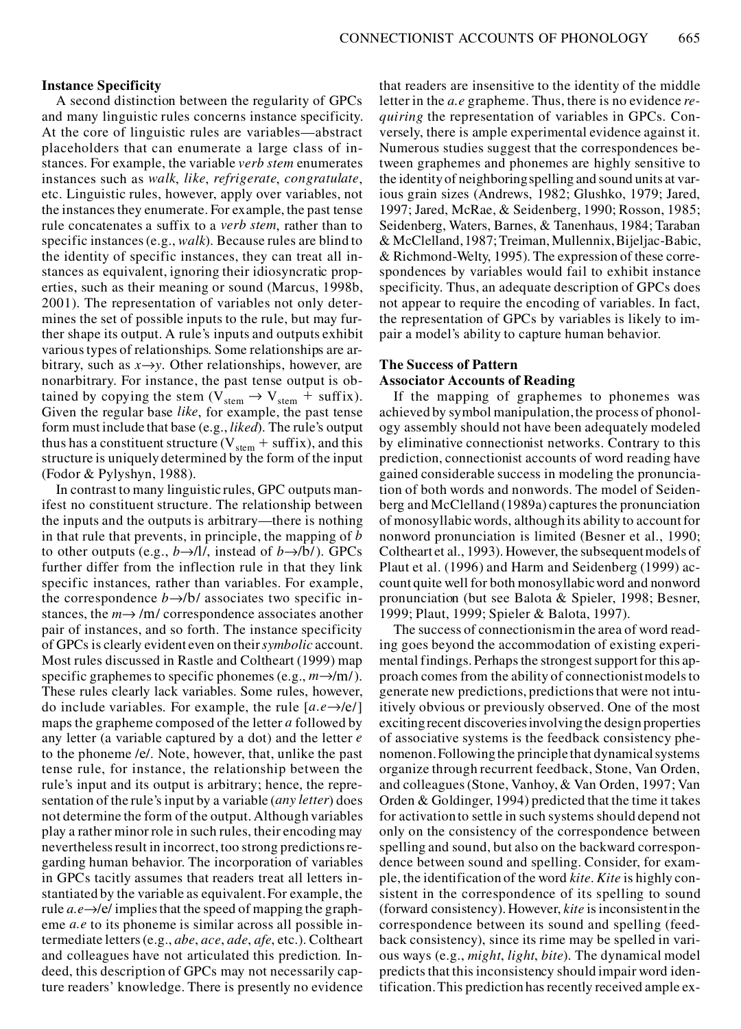#### **Instance Specificity**

A second distinction between the regularity of GPCs and many linguistic rules concerns instance specificity. At the core of linguistic rules are variables—abstract placeholders that can enumerate a large class of instances. For example, the variable *verb stem* enumerates instances such as *walk*, *like*, *refrigerate*, *congratulate*, etc. Linguistic rules, however, apply over variables, not the instances they enumerate. For example, the past tense rule concatenates a suffix to a *verb stem*, rather than to specific instances (e.g., *walk*). Because rules are blind to the identity of specific instances, they can treat all instances as equivalent, ignoring their idiosyncratic properties, such as their meaning or sound (Marcus, 1998b, 2001). The representation of variables not only determines the set of possible inputs to the rule, but may further shape its output. A rule's inputs and outputs exhibit various types of relationships. Some relationships are arbitrary, such as  $x \rightarrow y$ . Other relationships, however, are nonarbitrary. For instance, the past tense output is obtained by copying the stem ( $V_{stem} \rightarrow V_{stem} + suffix$ ). Given the regular base *like*, for example, the past tense form must include that base (e.g., *liked*). The rule's output thus has a constituent structure ( $V_{stem}$  + suffix), and this structure is uniquely determined by the form of the input (Fodor & Pylyshyn, 1988).

In contrast to many linguistic rules, GPC outputs manifest no constituent structure. The relationship between the inputs and the outputs is arbitrary—there is nothing in that rule that prevents, in principle, the mapping of *b* to other outputs (e.g.,  $b \rightarrow l/l$ , instead of  $b \rightarrow l/b$ ). GPCs further differ from the inflection rule in that they link specific instances, rather than variables. For example, the correspondence  $b \rightarrow/b$  associates two specific instances, the  $m \rightarrow /m/$  correspondence associates another pair of instances, and so forth. The instance specificity of GPCs is clearly evident even on their *symbolic* account. Most rules discussed in Rastle and Coltheart (1999) map specific graphemes to specific phonemes (e.g.,  $m \rightarrow /m/$ ). These rules clearly lack variables. Some rules, however, do include variables. For example, the rule  $[a.e \rightarrow/e]$ maps the grapheme composed of the letter *a* followed by any letter (a variable captured by a dot) and the letter *e* to the phoneme /e/. Note, however, that, unlike the past tense rule, for instance, the relationship between the rule's input and its output is arbitrary; hence, the representation of the rule's input by a variable (*any letter*) does not determine the form of the output. Although variables play a rather minor role in such rules, their encoding may nevertheless result in incorrect, too strong predictions regarding human behavior. The incorporation of variables in GPCs tacitly assumes that readers treat all letters instantiated by the variable as equivalent. For example, the rule  $a.e \rightarrow$ /e/ implies that the speed of mapping the grapheme *a.e* to its phoneme is similar across all possible intermediate letters (e.g., *abe*, *ace*, *ade*, *afe*, etc.). Coltheart and colleagues have not articulated this prediction. Indeed, this description of GPCs may not necessarily capture readers' knowledge. There is presently no evidence

that readers are insensitive to the identity of the middle letter in the *a.e* grapheme. Thus, there is no evidence *re quiring* the representation of variables in GPCs. Conversely, there is ample experimental evidence against it. Numerous studies suggest that the correspondences between graphemes and phonemes are highly sensitive to the identity of neighboring spelling and sound units at various grain sizes (Andrews, 1982; Glushko, 1979; Jared, 1997; Jared, McRae, & Seidenberg, 1990; Rosson, 1985; Seidenberg, Waters, Barnes, & Tanenhaus, 1984; Taraban & McClelland, 1987; Treiman, Mullennix, Bijeljac-Babic, & Richmond-Welty, 1995). The expression of these correspondences by variables would fail to exhibit instance specificity. Thus, an adequate description of GPCs does not appear to require the encoding of variables. In fact, the representation of GPCs by variables is likely to impair a model's ability to capture human behavior.

## **The Success of Pattern Associator Accounts of Reading**

If the mapping of graphemes to phonemes was achieved by symbol manipulation,the process of phonology assembly should not have been adequately modeled by eliminative connectionist networks. Contrary to this prediction, connectionist accounts of word reading have gained considerable success in modeling the pronunciation of both words and nonwords. The model of Seidenberg and McClelland (1989a) captures the pronunciation of monosyllabic words, although its ability to account for nonword pronunciation is limited (Besner et al., 1990; Coltheart et al., 1993). However, the subsequent models of Plaut et al. (1996) and Harm and Seidenberg (1999) account quite well for both monosyllabic word and nonword pronunciation (but see Balota & Spieler, 1998; Besner, 1999; Plaut, 1999; Spieler & Balota, 1997).

The success of connectionism in the area of word reading goes beyond the accommodation of existing experimental findings. Perhaps the strongest support for this approach comes from the ability of connectionistmodels to generate new predictions, predictionsthat were not intuitively obvious or previously observed. One of the most exciting recent discoveries involving the design properties of associative systems is the feedback consistency phenomenon. Following the principle that dynamical systems organize through recurrent feedback, Stone, Van Orden, and colleagues (Stone, Vanhoy, & Van Orden, 1997; Van Orden & Goldinger, 1994) predicted that the time it takes for activation to settle in such systems should depend not only on the consistency of the correspondence between spelling and sound, but also on the backward correspondence between sound and spelling. Consider, for example, the identification of the word *kite*. *Kite* is highly consistent in the correspondence of its spelling to sound (forward consistency). However, *kite* is inconsistent in the correspondence between its sound and spelling (feedback consistency), since its rime may be spelled in various ways (e.g., *might*, *light*, *bite*). The dynamical model predicts that this inconsistency should impair word identification. This prediction has recently received ample ex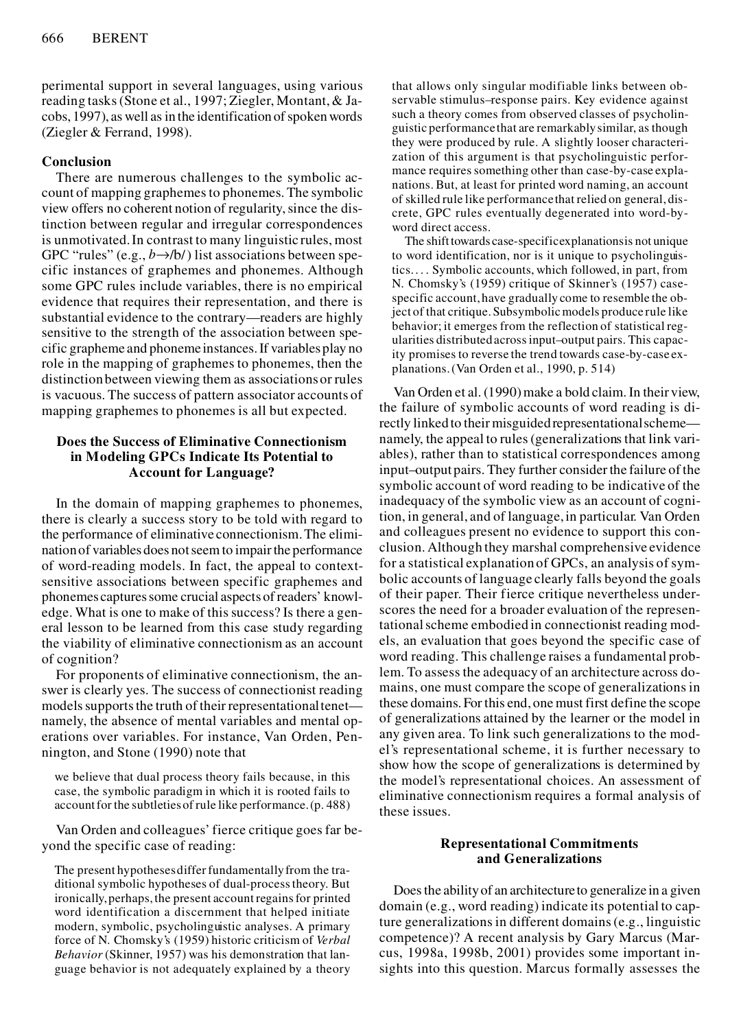perimental support in several languages, using various reading tasks (Stone et al., 1997; Ziegler, Montant, & Jacobs, 1997), as well as in the identification of spoken words (Ziegler & Ferrand, 1998).

## **Conclusion**

There are numerous challenges to the symbolic account of mapping graphemes to phonemes. The symbolic view offers no coherent notion of regularity, since the distinction between regular and irregular correspondences is unmotivated. In contrast to many linguistic rules, most GPC "rules" (e.g.,  $b \rightarrow/b/$ ) list associations between specific instances of graphemes and phonemes. Although some GPC rules include variables, there is no empirical evidence that requires their representation, and there is substantial evidence to the contrary—readers are highly sensitive to the strength of the association between specific grapheme and phoneme instances. If variables play no role in the mapping of graphemes to phonemes, then the distinction between viewing them as associations or rules is vacuous. The success of pattern associator accounts of mapping graphemes to phonemes is all but expected.

## **Does the Success of Eliminative Connectionism in Modeling GPCs Indicate Its Potential to Account for Language?**

In the domain of mapping graphemes to phonemes, there is clearly a success story to be told with regard to the performance of eliminative connectionism. The elimination of variables does not seem to impair the performance of word-reading models. In fact, the appeal to contextsensitive associations between specific graphemes and phonemes captures some crucial aspects of readers' knowledge. What is one to make of this success? Is there a general lesson to be learned from this case study regarding the viability of eliminative connectionism as an account of cognition?

For proponents of eliminative connectionism, the answer is clearly yes. The success of connectionist reading models supports the truth of their representational tenet namely, the absence of mental variables and mental operations over variables. For instance, Van Orden, Pennington, and Stone (1990) note that

we believe that dual process theory fails because, in this case, the symbolic paradigm in which it is rooted fails to account for the subtleties of rule like performance. (p. 488)

Van Orden and colleagues' fierce critique goes far beyond the specific case of reading:

The present hypotheses differ fundamentally from the traditional symbolic hypotheses of dual-processtheory. But ironically, perhaps, the present account regains for printed word identification a discernment that helped initiate modern, symbolic, psycholinguistic analyses. A primary force of N. Chomsky's (1959) historic criticism of *Verbal Behavior* (Skinner, 1957) was his demonstration that language behavior is not adequately explained by a theory that allows only singular modifiable links between observable stimulus–response pairs. Key evidence against such a theory comes from observed classes of psycholinguistic performance that are remarkably similar, as though they were produced by rule. A slightly looser characterization of this argument is that psycholinguistic perfor mance requires something other than case-by-case explanations. But, at least for printed word naming, an account of skilled rule like performance that relied on general, discrete, GPC rules eventually degenerated into word-byword direct access.

The shift towards case-specific explanations is not unique to word identification, nor is it unique to psycholinguistics.. . . Symbolic accounts, which followed, in part, from N. Chomsky's (1959) critique of Skinner's (1957) case specific account, have gradually come to resemble the object of that critique. Subsymbolic models produce rule like behavior; it emerges from the reflection of statistical regularities distributed across input–output pairs. This capacity promises to reverse the trend towards case-by-case ex planations. (Van Orden et al., 1990, p. 514)

Van Orden et al. (1990) make a bold claim. In their view, the failure of symbolic accounts of word reading is directly linked to their misguided representational scheme namely, the appeal to rules (generalizations that link variables), rather than to statistical correspondences among input–output pairs. They further consider the failure of the symbolic account of word reading to be indicative of the inadequacy of the symbolic view as an account of cognition, in general, and of language, in particular. Van Orden and colleagues present no evidence to support this conclusion. Although they marshal comprehensive evidence for a statistical explanationof GPCs, an analysis of symbolic accounts of language clearly falls beyond the goals of their paper. Their fierce critique nevertheless underscores the need for a broader evaluation of the representational scheme embodied in connectionist reading models, an evaluation that goes beyond the specific case of word reading. This challenge raises a fundamental problem. To assess the adequacy of an architecture across domains, one must compare the scope of generalizations in these domains. For this end, one must first define the scope of generalizations attained by the learner or the model in any given area. To link such generalizations to the model's representational scheme, it is further necessary to show how the scope of generalizations is determined by the model's representational choices. An assessment of eliminative connectionism requires a formal analysis of these issues.

## **Representational Commitments and Generalizations**

Does the ability of an architecture to generalize in a given domain (e.g., word reading) indicate its potential to capture generalizations in different domains (e.g., linguistic competence)? A recent analysis by Gary Marcus (Marcus, 1998a, 1998b, 2001) provides some important insights into this question. Marcus formally assesses the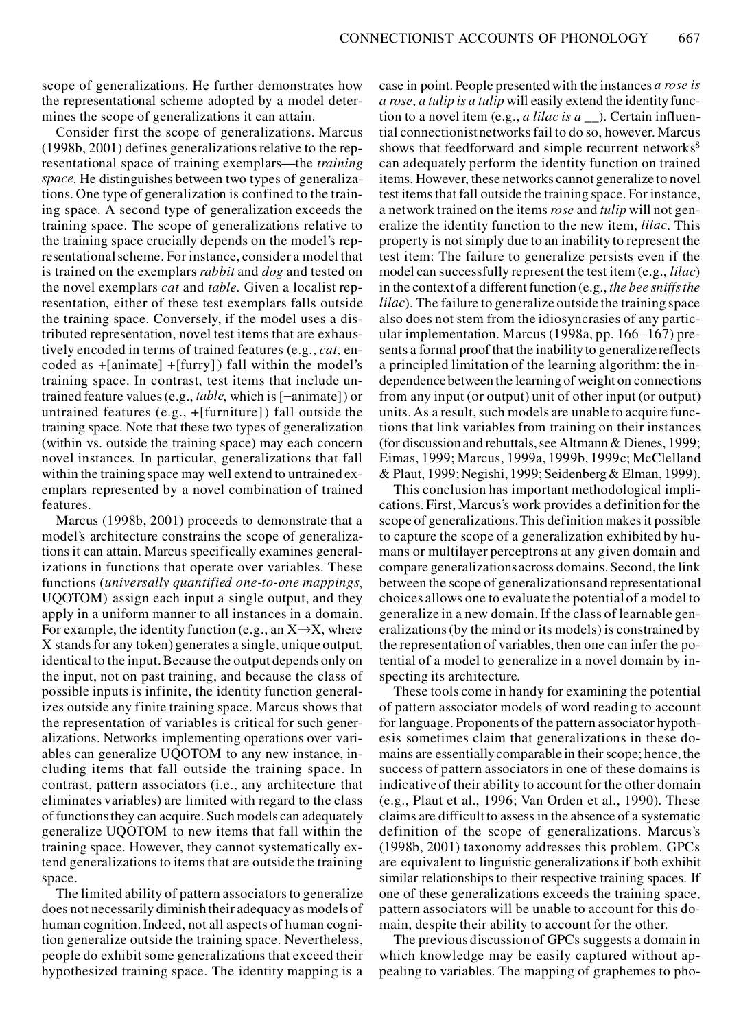scope of generalizations. He further demonstrates how the representational scheme adopted by a model determines the scope of generalizations it can attain.

Consider first the scope of generalizations. Marcus (1998b, 2001) defines generalizations relative to the representational space of training exemplars—the *training space*. He distinguishes between two types of generalizations. One type of generalization is confined to the training space. A second type of generalization exceeds the training space. The scope of generalizations relative to the training space crucially depends on the model's representational scheme. For instance, consider a model that is trained on the exemplars *rabbit* and *dog* and tested on the novel exemplars *cat* and *table*. Given a localist representation, either of these test exemplars falls outside the training space. Conversely, if the model uses a distributed representation, novel test items that are exhaustively encoded in terms of trained features (e.g., *cat*, encoded as +[animate] +[furry]) fall within the model's training space. In contrast, test items that include untrained feature values (e.g., *table*, which is [-animate]) or untrained features (e.g., +[furniture]) fall outside the training space. Note that these two types of generalization (within vs. outside the training space) may each concern novel instances. In particular, generalizations that fall within the training space may well extend to untrained exemplars represented by a novel combination of trained features.

Marcus (1998b, 2001) proceeds to demonstrate that a model's architecture constrains the scope of generalizations it can attain. Marcus specifically examines generalizations in functions that operate over variables. These functions (*universally quantified one-to-one mappings*, UQOTOM) assign each input a single output, and they apply in a uniform manner to all instances in a domain. For example, the identity function (e.g., an  $X \rightarrow X$ , where X stands for any token) generates a single, unique output, identical to the input. Because the output depends only on the input, not on past training, and because the class of possible inputs is infinite, the identity function generalizes outside any finite training space. Marcus shows that the representation of variables is critical for such generalizations. Networks implementing operations over variables can generalize UQOTOM to any new instance, including items that fall outside the training space. In contrast, pattern associators (i.e., any architecture that eliminates variables) are limited with regard to the class of functions they can acquire. Such models can adequately generalize UQOTOM to new items that fall within the training space. However, they cannot systematically extend generalizations to items that are outside the training space.

The limited ability of pattern associators to generalize does not necessarily diminish their adequacy as models of human cognition. Indeed, not all aspects of human cognition generalize outside the training space. Nevertheless, people do exhibit some generalizations that exceed their hypothesized training space. The identity mapping is a

case in point. People presented with the instances *a rose is a rose*, *a tulip is a tulip* will easily extend the identity function to a novel item (e.g., *a lilac is a \_\_*). Certain influential connectionist networks fail to do so, however. Marcus shows that feedforward and simple recurrent networks $8$ can adequately perform the identity function on trained items. However, these networks cannot generalize to novel test items that fall outside the training space. For instance, a network trained on the items *rose* and *tulip* will not generalize the identity function to the new item, *lilac*. This property is not simply due to an inability to represent the test item: The failure to generalize persists even if the model can successfully represent the test item (e.g., *lilac*) in the context of a different function (e.g., *the bee sniffs the lilac*). The failure to generalize outside the training space also does not stem from the idiosyncrasies of any particular implementation. Marcus (1998a, pp. 166–167) presents a formal proof that the inability to generalize reflects a principled limitation of the learning algorithm: the independence between the learning of weight on connections from any input (or output) unit of other input (or output) units. As a result, such models are unable to acquire functions that link variables from training on their instances (for discussion and rebuttals, see Altmann & Dienes, 1999; Eimas, 1999; Marcus, 1999a, 1999b, 1999c; McClelland & Plaut, 1999; Negishi, 1999; Seidenberg & Elman, 1999).

This conclusion has important methodological implications. First, Marcus's work provides a definition for the scope of generalizations. This definition makes it possible to capture the scope of a generalization exhibited by humans or multilayer perceptrons at any given domain and compare generalizations across domains. Second, the link between the scope of generalizations and representational choices allows one to evaluate the potential of a model to generalize in a new domain. If the class of learnable generalizations(by the mind or its models) is constrained by the representation of variables, then one can infer the potential of a model to generalize in a novel domain by inspecting its architecture.

These tools come in handy for examining the potential of pattern associator models of word reading to account for language. Proponents of the pattern associator hypothesis sometimes claim that generalizations in these domains are essentially comparable in their scope; hence, the success of pattern associators in one of these domains is indicative of their ability to account for the other domain (e.g., Plaut et al., 1996; Van Orden et al., 1990). These claims are difficult to assess in the absence of a systematic definition of the scope of generalizations. Marcus's (1998b, 2001) taxonomy addresses this problem. GPCs are equivalent to linguistic generalizations if both exhibit similar relationships to their respective training spaces. If one of these generalizations exceeds the training space, pattern associators will be unable to account for this domain, despite their ability to account for the other.

The previous discussion of GPCs suggests a domain in which knowledge may be easily captured without appealing to variables. The mapping of graphemes to pho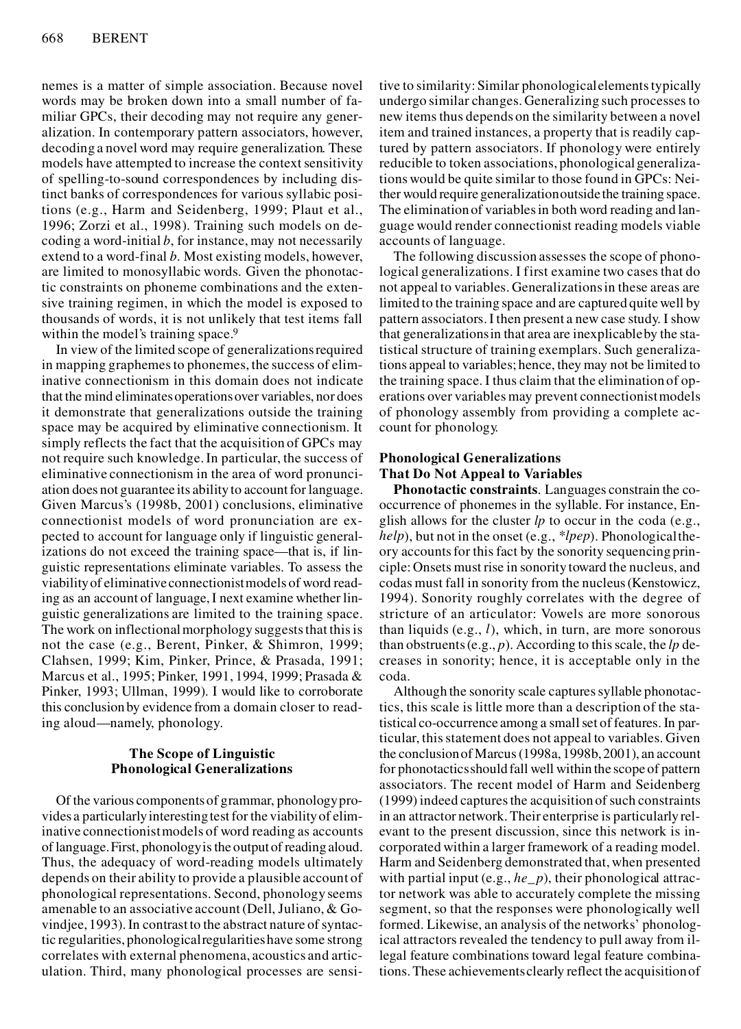nemes is a matter of simple association. Because novel words may be broken down into a small number of familiar GPCs, their decoding may not require any generalization. In contemporary pattern associators, however, decoding a novel word may require generalization. These models have attempted to increase the context sensitivity of spelling-to-sound correspondences by including distinct banks of correspondences for various syllabic positions (e.g., Harm and Seidenberg, 1999; Plaut et al., 1996; Zorzi et al., 1998). Training such models on decoding a word-initial *b*, for instance, may not necessarily extend to a word-final *b*. Most existing models, however, are limited to monosyllabic words. Given the phonotactic constraints on phoneme combinations and the extensive training regimen, in which the model is exposed to thousands of words, it is not unlikely that test items fall within the model's training space.<sup>9</sup>

In view of the limited scope of generalizations required in mapping graphemes to phonemes, the success of eliminative connectionism in this domain does not indicate that the mind eliminates operations over variables, nor does it demonstrate that generalizations outside the training space may be acquired by eliminative connectionism. It simply reflects the fact that the acquisition of GPCs may not require such knowledge. In particular, the success of eliminative connectionism in the area of word pronunciation does not guarantee its ability to account for language. Given Marcus's (1998b, 2001) conclusions, eliminative connectionist models of word pronunciation are expected to account for language only if linguistic generalizations do not exceed the training space—that is, if linguistic representations eliminate variables. To assess the viability of eliminative connectionist models of word reading as an account of language, I next examine whether linguistic generalizations are limited to the training space. The work on inflectional morphology suggests that this is not the case (e.g., Berent, Pinker, & Shimron, 1999; Clahsen, 1999; Kim, Pinker, Prince, & Prasada, 1991; Marcus et al., 1995; Pinker, 1991, 1994, 1999; Prasada & Pinker, 1993; Ullman, 1999). I would like to corroborate this conclusion by evidence from a domain closer to reading aloud—namely, phonology.

## **The Scope of Linguistic Phonological Generalizations**

Of the various components of grammar, phonology provides a particularly interesting test for the viability of eliminative connectionist models of word reading as accounts of language. First, phonology is the output of reading aloud. Thus, the adequacy of word-reading models ultimately depends on their ability to provide a plausible account of phonological representations. Second, phonology seems amenable to an associative account (Dell, Juliano, & Govindjee, 1993). In contrast to the abstract nature of syntactic regularities, phonological regularities have some strong correlates with external phenomena, acoustics and articulation. Third, many phonological processes are sensitive to similarity: Similar phonological elements typically undergo similar changes. Generalizing such processes to new items thus depends on the similarity between a novel item and trained instances, a property that is readily captured by pattern associators. If phonology were entirely reducible to token associations, phonological generalizations would be quite similar to those found in GPCs: Neither would require generalization outside the training space. The elimination of variables in both word reading and language would render connectionist reading models viable accounts of language.

The following discussion assesses the scope of phonological generalizations. I first examine two cases that do not appeal to variables. Generalizations in these areas are limited to the training space and are captured quite well by pattern associators. I then present a new case study. I show that generalizations in that area are inexplicable by the statistical structure of training exemplars. Such generalizations appeal to variables; hence, they may not be limited to the training space. I thus claim that the elimination of operations over variables may prevent connectionistmodels of phonology assembly from providing a complete account for phonology.

# **Phonological Generalizations That Do Not Appeal to Variables**

**Phonotactic constraints**. Languages constrain the cooccurrence of phonemes in the syllable. For instance, English allows for the cluster *lp* to occur in the coda (e.g., *help*), but not in the onset (e.g., *\*lpep*). Phonological theory accounts for this fact by the sonority sequencing principle: Onsets must rise in sonority toward the nucleus, and codas must fall in sonority from the nucleus (Kenstowicz, 1994). Sonority roughly correlates with the degree of stricture of an articulator: Vowels are more sonorous than liquids (e.g., *l*), which, in turn, are more sonorous than obstruents (e.g., *p*). According to this scale, the *lp* decreases in sonority; hence, it is acceptable only in the coda.

Although the sonority scale captures syllable phonotactics, this scale is little more than a description of the statistical co-occurrence among a small set of features. In particular, this statement does not appeal to variables. Given the conclusion of Marcus (1998a, 1998b, 2001), an account for phonotactics should fall well within the scope of pattern associators. The recent model of Harm and Seidenberg (1999) indeed captures the acquisition of such constraints in an attractor network. Their enterprise is particularly relevant to the present discussion, since this network is incorporated within a larger framework of a reading model. Harm and Seidenberg demonstrated that, when presented with partial input (e.g., *he\_p*), their phonological attractor network was able to accurately complete the missing segment, so that the responses were phonologically well formed. Likewise, an analysis of the networks' phonological attractors revealed the tendency to pull away from illegal feature combinations toward legal feature combinations. These achievements clearly reflect the acquisition of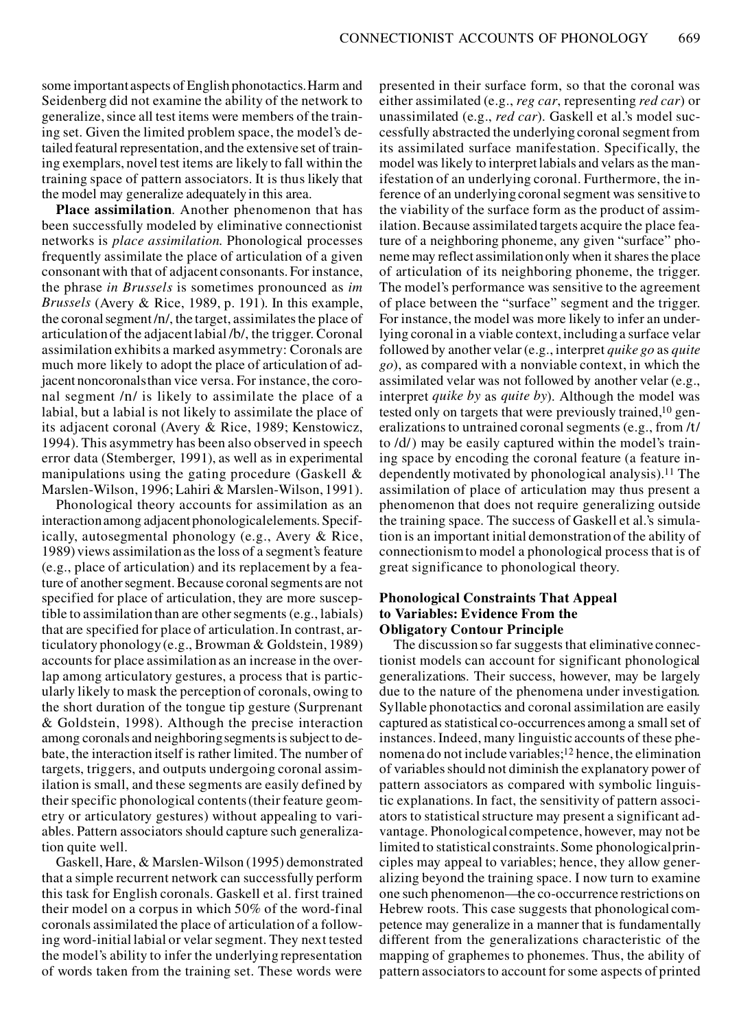some important aspects of English phonotactics. Harm and Seidenberg did not examine the ability of the network to generalize, since all test items were members of the training set. Given the limited problem space, the model's detailed featural representation, and the extensive set of training exemplars, novel test items are likely to fall within the training space of pattern associators. It is thus likely that the model may generalize adequately in this area.

**Place assimilation**. Another phenomenon that has been successfully modeled by eliminative connectionist networks is *place assimilation*. Phonological processes frequently assimilate the place of articulation of a given consonant with that of adjacent consonants. For instance, the phrase *in Brussels* is sometimes pronounced as *im Brussels* (Avery & Rice, 1989, p. 191). In this example, the coronal segment /n/, the target, assimilates the place of articulation of the adjacent labial /b/, the trigger. Coronal assimilation exhibits a marked asymmetry: Coronals are much more likely to adopt the place of articulation of adjacent noncoronals than vice versa. For instance, the coronal segment /n/ is likely to assimilate the place of a labial, but a labial is not likely to assimilate the place of its adjacent coronal (Avery & Rice, 1989; Kenstowicz, 1994). This asymmetry has been also observed in speech error data (Stemberger, 1991), as well as in experimental manipulations using the gating procedure (Gaskell & Marslen-Wilson, 1996; Lahiri & Marslen-Wilson, 1991).

Phonological theory accounts for assimilation as an interaction among adjacent phonological elements. Specifically, autosegmental phonology (e.g., Avery & Rice, 1989) views assimilation as the loss of a segment's feature (e.g., place of articulation) and its replacement by a feature of another segment. Because coronal segments are not specified for place of articulation, they are more susceptible to assimilation than are other segments (e.g., labials) that are specified for place of articulation. In contrast, articulatory phonology (e.g., Browman & Goldstein, 1989) accounts for place assimilation as an increase in the overlap among articulatory gestures, a process that is particularly likely to mask the perception of coronals, owing to the short duration of the tongue tip gesture (Surprenant & Goldstein, 1998). Although the precise interaction among coronals and neighboring segments is subject to debate, the interaction itself is rather limited. The number of targets, triggers, and outputs undergoing coronal assimilation is small, and these segments are easily defined by their specific phonological contents (their feature geometry or articulatory gestures) without appealing to variables. Pattern associators should capture such generalization quite well.

Gaskell, Hare, & Marslen-Wilson (1995) demonstrated that a simple recurrent network can successfully perform this task for English coronals. Gaskell et al. first trained their model on a corpus in which 50% of the word-final coronals assimilated the place of articulation of a following word-initial labial or velar segment. They next tested the model's ability to infer the underlying representation of words taken from the training set. These words were

presented in their surface form, so that the coronal was either assimilated (e.g., *reg car*, representing *red car*) or unassimilated (e.g., *red car*). Gaskell et al.'s model successfully abstracted the underlying coronal segment from its assimilated surface manifestation. Specifically, the model was likely to interpret labials and velars as the manifestation of an underlying coronal. Furthermore, the inference of an underlying coronal segment was sensitive to the viability of the surface form as the product of assimilation. Because assimilated targets acquire the place feature of a neighboring phoneme, any given "surface" phoneme may reflect assimilation only when it shares the place of articulation of its neighboring phoneme, the trigger. The model's performance was sensitive to the agreement of place between the "surface" segment and the trigger. For instance, the model was more likely to infer an underlying coronal in a viable context, including a surface velar followed by another velar (e.g., interpret *quike go* as *quite go*), as compared with a nonviable context, in which the assimilated velar was not followed by another velar (e.g., interpret *quike by* as *quite by*). Although the model was tested only on targets that were previously trained,<sup>10</sup> generalizations to untrained coronal segments (e.g., from /t/ to /d/) may be easily captured within the model's training space by encoding the coronal feature (a feature independently motivated by phonological analysis).11 The assimilation of place of articulation may thus present a phenomenon that does not require generalizing outside the training space. The success of Gaskell et al.'s simulation is an important initial demonstration of the ability of connectionismto model a phonological process that is of great significance to phonological theory.

## **Phonological Constraints That Appeal to Variables: Evidence From the Obligatory Contour Principle**

The discussion so far suggests that eliminative connectionist models can account for significant phonological generalizations. Their success, however, may be largely due to the nature of the phenomena under investigation. Syllable phonotactics and coronal assimilation are easily captured as statistical co-occurrences among a small set of instances. Indeed, many linguistic accounts of these phenomena do not include variables;12 hence, the elimination of variables should not diminish the explanatory power of pattern associators as compared with symbolic linguistic explanations. In fact, the sensitivity of pattern associators to statistical structure may present a significant advantage. Phonological competence, however, may not be limited to statistical constraints. Some phonological principles may appeal to variables; hence, they allow generalizing beyond the training space. I now turn to examine one such phenomenon—the co-occurrence restrictions on Hebrew roots. This case suggests that phonological competence may generalize in a manner that is fundamentally different from the generalizations characteristic of the mapping of graphemes to phonemes. Thus, the ability of pattern associators to account for some aspects of printed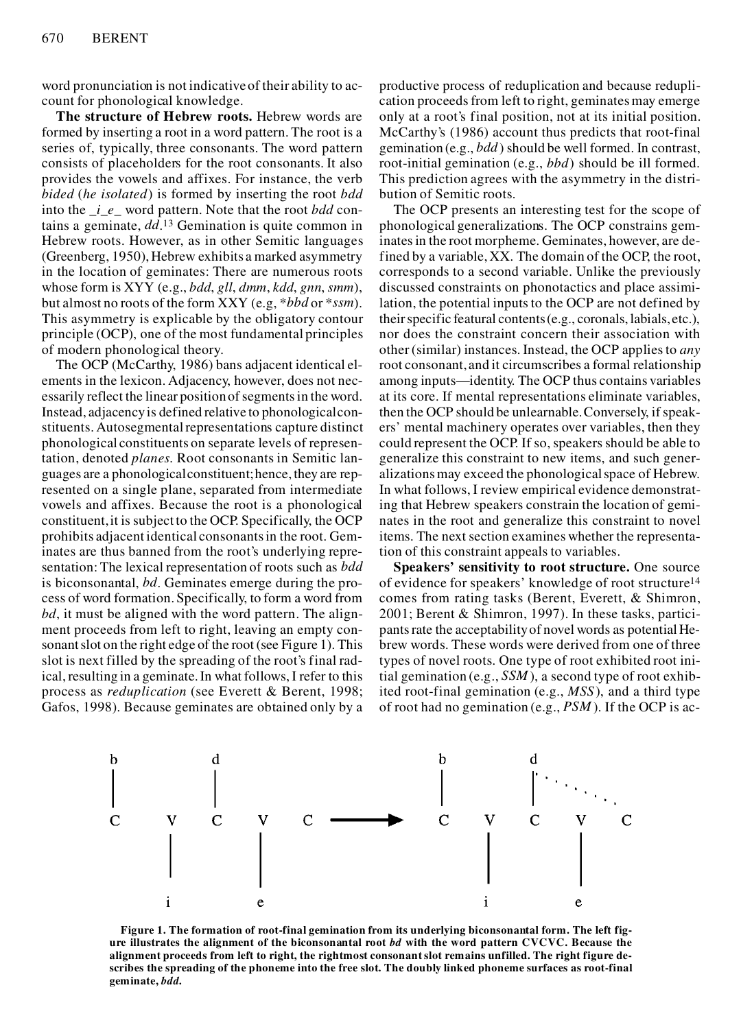word pronunciation is not indicative of their ability to account for phonological knowledge.

**The structure of Hebrew roots.** Hebrew words are formed by inserting a root in a word pattern. The root is a series of, typically, three consonants. The word pattern consists of placeholders for the root consonants. It also provides the vowels and affixes. For instance, the verb *bided* (*he isolated*) is formed by inserting the root *bdd* into the \_*i*\_*e*\_ word pattern. Note that the root *bdd* contains a geminate, *dd*.<sup>13</sup> Gemination is quite common in Hebrew roots. However, as in other Semitic languages (Greenberg, 1950), Hebrew exhibits a marked asymmetry in the location of geminates: There are numerous roots whose form is XYY (e.g., *bdd*, *gll*, *dmm*, *kdd*, *gnn*, *smm*), but almost no roots of the form XXY (e.g, \**bbd* or \**ssm*). This asymmetry is explicable by the obligatory contour principle (OCP), one of the most fundamental principles of modern phonological theory.

The OCP (McCarthy, 1986) bans adjacent identical elements in the lexicon. Adjacency, however, does not necessarily reflect the linear position of segments in the word. Instead, adjacency is defined relative to phonological constituents. Autosegmental representations capture distinct phonological constituents on separate levels of representation, denoted *planes*. Root consonants in Semitic languages are a phonological constituent; hence, they are represented on a single plane, separated from intermediate vowels and affixes. Because the root is a phonological constituent, it is subject to the OCP. Specifically, the OCP prohibits adjacent identical consonants in the root. Geminates are thus banned from the root's underlying representation: The lexical representation of roots such as *bdd* is biconsonantal, *bd*. Geminates emerge during the process of word formation. Specifically, to form a word from *bd*, it must be aligned with the word pattern. The alignment proceeds from left to right, leaving an empty consonant slot on the right edge of the root (see Figure 1). This slot is next filled by the spreading of the root's final radical, resulting in a geminate. In what follows, I refer to this process as *reduplication* (see Everett & Berent, 1998; Gafos, 1998). Because geminates are obtained only by a productive process of reduplication and because reduplication proceeds from left to right, geminates may emerge only at a root's final position, not at its initial position. McCarthy's (1986) account thus predicts that root-final gemination (e.g., *bdd* ) should be well formed. In contrast, root-initial gemination (e.g., *bbd*) should be ill formed. This prediction agrees with the asymmetry in the distribution of Semitic roots.

The OCP presents an interesting test for the scope of phonological generalizations. The OCP constrains geminates in the root morpheme. Geminates, however, are defined by a variable, XX. The domain of the OCP, the root, corresponds to a second variable. Unlike the previously discussed constraints on phonotactics and place assimilation, the potential inputs to the OCP are not defined by their specific featural contents (e.g., coronals, labials, etc.), nor does the constraint concern their association with other (similar) instances. Instead, the OCP applies to *any* root consonant, and it circumscribes a formal relationship among inputs—identity. The OCP thus contains variables at its core. If mental representations eliminate variables, then the OCP should be unlearnable. Conversely, if speakers' mental machinery operates over variables, then they could represent the OCP. If so, speakers should be able to generalize this constraint to new items, and such generalizations may exceed the phonological space of Hebrew. In what follows, I review empirical evidence demonstrating that Hebrew speakers constrain the location of geminates in the root and generalize this constraint to novel items. The next section examines whether the representation of this constraint appeals to variables.

**Speakers' sensitivity to root structure.** One source of evidence for speakers' knowledge of root structure14 comes from rating tasks (Berent, Everett, & Shimron, 2001; Berent & Shimron, 1997). In these tasks, participants rate the acceptability of novel words as potential Hebrew words. These words were derived from one of three types of novel roots. One type of root exhibited root initial gemination (e.g., *SSM* ), a second type of root exhibited root-final gemination (e.g., *MSS*), and a third type of root had no gemination (e.g., *PSM* ). If the OCP is ac-



**Figure 1. The formation of root-final gemination from its underlying biconsonantal form. The left fig ure illustrates the alignment of the biconsonantal root** *bd* **with the word pattern CVCVC. Because the alignment proceeds from left to right, the rightmost consonant slot remains unfilled. The right figure describes the spreading of the phoneme into the free slot. The doubly linked phoneme surfaces as root-final geminate,** *bdd***.**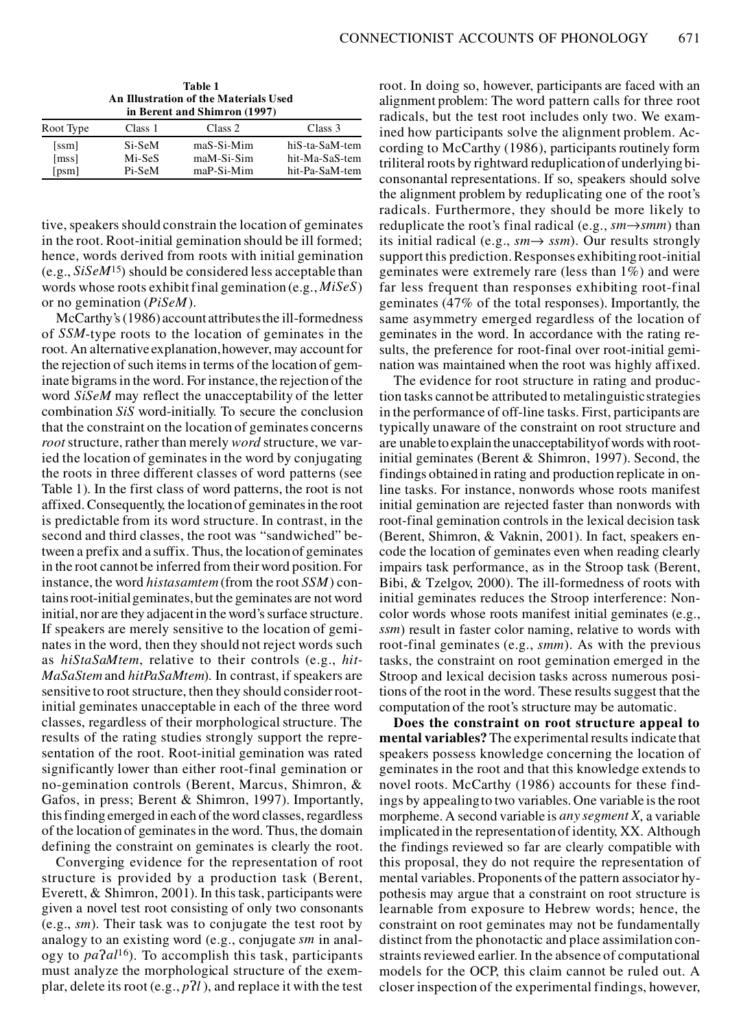**Table 1 An Illustration of the Materials Used in Berent and Shimron (1997)**

| Root Type | Class 1 | Class <sub>2</sub> | Class 3        |
|-----------|---------|--------------------|----------------|
| [ssm]     | Si-SeM  | maS-Si-Mim         | hiS-ta-SaM-tem |
| [mss]     | Mi-SeS  | maM-Si-Sim         | hit-Ma-SaS-tem |
| [psm]     | Pi-SeM  | maP-Si-Mim         | hit-Pa-SaM-tem |

tive, speakers should constrain the location of geminates in the root. Root-initial gemination should be ill formed; hence, words derived from roots with initial gemination (e.g., *SiSeM*15) should be considered less acceptable than words whose roots exhibit final gemination (e.g., *MiSeS*) or no gemination (*PiSeM*).

McCarthy's (1986) account attributes the ill-formedness of *SSM*-type roots to the location of geminates in the root. An alternative explanation, however, may account for the rejection of such items in terms of the location of geminate bigrams in the word. For instance, the rejection of the word *SiSeM* may reflect the unacceptability of the letter combination *SiS* word-initially. To secure the conclusion that the constraint on the location of geminates concerns *root*structure, rather than merely *word* structure, we varied the location of geminates in the word by conjugating the roots in three different classes of word patterns (see Table 1). In the first class of word patterns, the root is not affixed. Consequently, the location of geminates in the root is predictable from its word structure. In contrast, in the second and third classes, the root was "sandwiched" between a prefix and a suffix. Thus, the location of geminates in the root cannot be inferred from their word position. For instance, the word *histasamtem* (from the root *SSM*) contains root-initial geminates, but the geminates are not word initial, nor are they adjacent in the word's surface structure. If speakers are merely sensitive to the location of geminates in the word, then they should not reject words such as *hiStaSaMtem*, relative to their controls (e.g., *hit-MaSaStem* and *hitPaSaMtem*). In contrast, if speakers are sensitive to root structure, then they should consider rootinitial geminates unacceptable in each of the three word classes, regardless of their morphological structure. The results of the rating studies strongly support the representation of the root. Root-initial gemination was rated significantly lower than either root-final gemination or no-gemination controls (Berent, Marcus, Shimron, & Gafos, in press; Berent & Shimron, 1997). Importantly, this finding emerged in each of the word classes, regardless of the location of geminates in the word. Thus, the domain defining the constraint on geminates is clearly the root.

Converging evidence for the representation of root structure is provided by a production task (Berent, Everett, & Shimron, 2001). In this task, participants were given a novel test root consisting of only two consonants (e.g., *sm*). Their task was to conjugate the test root by analogy to an existing word (e.g., conjugate *sm* in analogy to *pa*?*al*16). To accomplish this task, participants must analyze the morphological structure of the exemplar, delete its root (e.g., *p*?*l* ), and replace it with the test

root. In doing so, however, participants are faced with an alignment problem: The word pattern calls for three root radicals, but the test root includes only two. We examined how participants solve the alignment problem. According to McCarthy (1986), participants routinely form triliteral roots by rightward reduplication of underlying biconsonantal representations. If so, speakers should solve the alignment problem by reduplicating one of the root's radicals. Furthermore, they should be more likely to reduplicate the root's final radical (e.g.,  $sm \rightarrow smm$ ) than its initial radical (e.g.,  $sm \rightarrow ssm$ ). Our results strongly support this prediction. Responses exhibiting root-initial geminates were extremely rare (less than 1%) and were far less frequent than responses exhibiting root-final geminates (47% of the total responses). Importantly, the same asymmetry emerged regardless of the location of geminates in the word. In accordance with the rating results, the preference for root-final over root-initial gemination was maintained when the root was highly affixed.

The evidence for root structure in rating and production tasks cannot be attributed to metalinguistic strategies in the performance of off-line tasks. First, participants are typically unaware of the constraint on root structure and are unable to explain the unacceptability of words with rootinitial geminates (Berent & Shimron, 1997). Second, the findings obtained in rating and production replicate in online tasks. For instance, nonwords whose roots manifest initial gemination are rejected faster than nonwords with root-final gemination controls in the lexical decision task (Berent, Shimron, & Vaknin, 2001). In fact, speakers encode the location of geminates even when reading clearly impairs task performance, as in the Stroop task (Berent, Bibi, & Tzelgov, 2000). The ill-formedness of roots with initial geminates reduces the Stroop interference: Noncolor words whose roots manifest initial geminates (e.g., *ssm*) result in faster color naming, relative to words with root-final geminates (e.g., *smm*). As with the previous tasks, the constraint on root gemination emerged in the Stroop and lexical decision tasks across numerous positions of the root in the word. These results suggest that the computation of the root's structure may be automatic.

**Does the constraint on root structure appeal to mental variables?**The experimental results indicate that speakers possess knowledge concerning the location of geminates in the root and that this knowledge extends to novel roots. McCarthy (1986) accounts for these findings by appealing to two variables. One variable is the root morpheme. A second variable is *any segment X*, a variable implicated in the representation of identity, XX. Although the findings reviewed so far are clearly compatible with this proposal, they do not require the representation of mental variables. Proponents of the pattern associator hypothesis may argue that a constraint on root structure is learnable from exposure to Hebrew words; hence, the constraint on root geminates may not be fundamentally distinct from the phonotactic and place assimilation constraints reviewed earlier. In the absence of computational models for the OCP, this claim cannot be ruled out. A closer inspection of the experimental findings, however,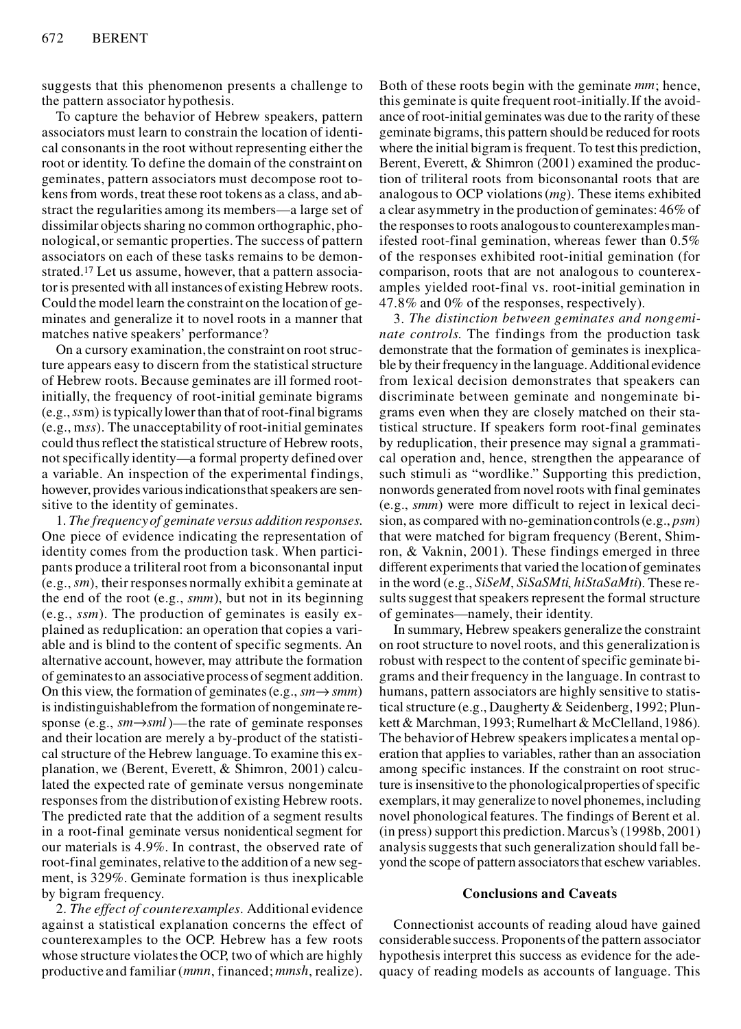suggests that this phenomenon presents a challenge to the pattern associator hypothesis.

To capture the behavior of Hebrew speakers, pattern associators must learn to constrain the location of identical consonants in the root without representing either the root or identity. To define the domain of the constraint on geminates, pattern associators must decompose root tokens from words, treat these root tokens as a class, and abstract the regularities among its members—a large set of dissimilar objects sharing no common orthographic, phonological, or semantic properties. The success of pattern associators on each of these tasks remains to be demonstrated.17 Let us assume, however, that a pattern associator is presented with all instances of existing Hebrew roots. Could the model learn the constraint on the location of geminates and generalize it to novel roots in a manner that matches native speakers' performance?

On a cursory examination, the constraint on root structure appears easy to discern from the statistical structure of Hebrew roots. Because geminates are ill formed rootinitially, the frequency of root-initial geminate bigrams (e.g., *ss*m) is typically lower than that of root-final bigrams (e.g., m*ss*). The unacceptability of root-initial geminates could thus reflect the statistical structure of Hebrew roots, not specifically identity—a formal property defined over a variable. An inspection of the experimental findings, however, provides various indications that speakers are sensitive to the identity of geminates.

1. *The frequency of geminate versus addition responses*. One piece of evidence indicating the representation of identity comes from the production task. When participants produce a triliteral root from a biconsonantal input (e.g., *sm*), their responses normally exhibit a geminate at the end of the root (e.g., *smm*), but not in its beginning (e.g., *ssm*). The production of geminates is easily explained as reduplication: an operation that copies a variable and is blind to the content of specific segments. An alternative account, however, may attribute the formation of geminates to an associative process of segment addition. On this view, the formation of geminates (e.g.,  $sm \rightarrow smm$ ) is indistinguishable from the formation of nongeminate response (e.g.,  $sm \rightarrow$ *sml*)—the rate of geminate responses and their location are merely a by-product of the statistical structure of the Hebrew language. To examine this explanation, we (Berent, Everett, & Shimron, 2001) calculated the expected rate of geminate versus nongeminate responses from the distributionof existing Hebrew roots. The predicted rate that the addition of a segment results in a root-final geminate versus nonidentical segment for our materials is 4.9%. In contrast, the observed rate of root-final geminates, relative to the addition of a new segment, is 329%. Geminate formation is thus inexplicable by bigram frequency.

2. *The effect of counterexamples*. Additional evidence against a statistical explanation concerns the effect of counterexamples to the OCP. Hebrew has a few roots whose structure violates the OCP, two of which are highly productive and familiar (*mmn*, financed; *mmsh*, realize).

Both of these roots begin with the geminate *mm*; hence, this geminate is quite frequent root-initially. If the avoidance of root-initial geminates was due to the rarity of these geminate bigrams, this pattern should be reduced for roots where the initial bigram is frequent. To test this prediction, Berent, Everett, & Shimron (2001) examined the production of triliteral roots from biconsonantal roots that are analogous to OCP violations (*mg*). These items exhibited a clear asymmetry in the production of geminates: 46% of the responses to roots analogous to counterexamples manifested root-final gemination, whereas fewer than 0.5% of the responses exhibited root-initial gemination (for comparison, roots that are not analogous to counterexamples yielded root-final vs. root-initial gemination in 47.8% and 0% of the responses, respectively).

3. *The distinction between geminates and nongeminate controls*. The findings from the production task demonstrate that the formation of geminates is inexplicable by their frequency in the language. Additional evidence from lexical decision demonstrates that speakers can discriminate between geminate and nongeminate bigrams even when they are closely matched on their statistical structure. If speakers form root-final geminates by reduplication, their presence may signal a grammatical operation and, hence, strengthen the appearance of such stimuli as "wordlike." Supporting this prediction, nonwords generated from novel roots with final geminates (e.g., *smm*) were more difficult to reject in lexical decision, as compared with no-gemination controls (e.g., *psm*) that were matched for bigram frequency (Berent, Shimron, & Vaknin, 2001). These findings emerged in three different experiments that varied the location of geminates in the word (e.g., *SiSeM*, *SiSaSMti*, *hiStaSaMti*). These results suggest that speakers represent the formal structure of geminates—namely, their identity.

In summary, Hebrew speakers generalize the constraint on root structure to novel roots, and this generalization is robust with respect to the content of specific geminate bigrams and their frequency in the language. In contrast to humans, pattern associators are highly sensitive to statistical structure (e.g., Daugherty & Seidenberg, 1992; Plunkett & Marchman, 1993; Rumelhart & McClelland, 1986). The behavior of Hebrew speakers implicates a mental operation that applies to variables, rather than an association among specific instances. If the constraint on root structure is insensitive to the phonological properties of specific exemplars, it may generalize to novel phonemes, including novel phonological features. The findings of Berent et al. (in press) support this prediction. Marcus's (1998b, 2001) analysis suggests that such generalization should fall beyond the scope of pattern associators that eschew variables.

#### **Conclusions and Caveats**

Connectionist accounts of reading aloud have gained considerable success. Proponents of the pattern associator hypothesis interpret this success as evidence for the adequacy of reading models as accounts of language. This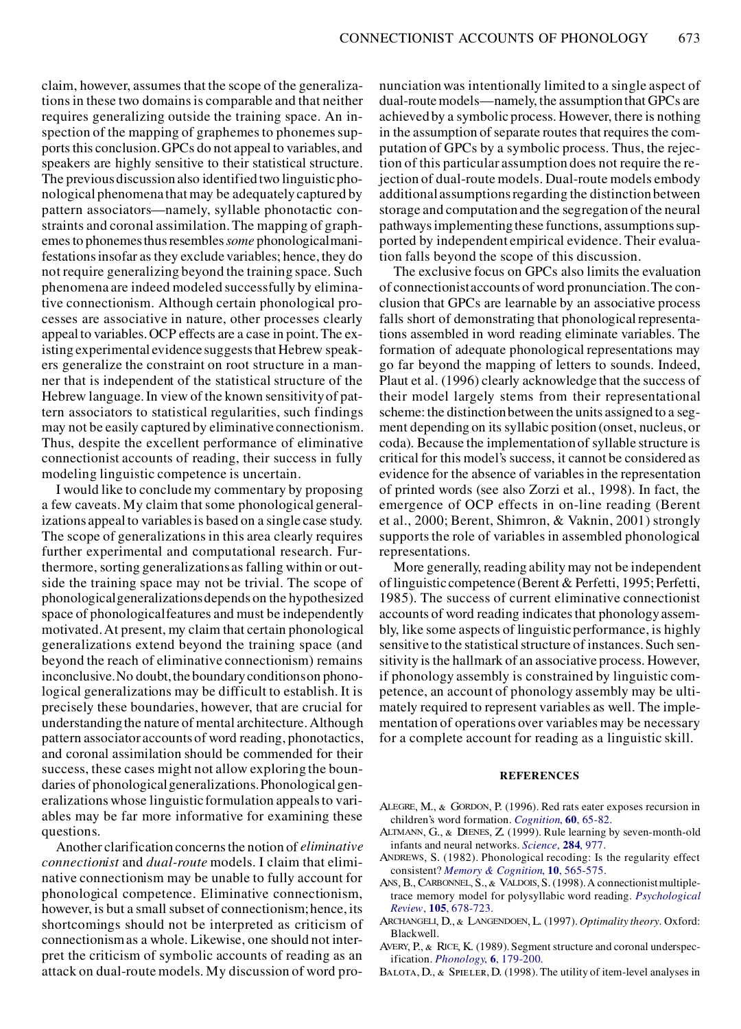claim, however, assumes that the scope of the generalizations in these two domains is comparable and that neither requires generalizing outside the training space. An inspection of the mapping of graphemes to phonemes supports this conclusion. GPCs do not appeal to variables, and speakers are highly sensitive to their statistical structure. The previous discussion also identified two linguistic phonological phenomena that may be adequately captured by pattern associators—namely, syllable phonotactic constraints and coronal assimilation.The mapping of graphemes to phonemes thus resembles *some* phonological manifestations insofar as they exclude variables; hence, they do not require generalizing beyond the training space. Such phenomena are indeed modeled successfully by eliminative connectionism. Although certain phonological processes are associative in nature, other processes clearly appeal to variables. OCP effects are a case in point. The existing experimental evidence suggests that Hebrew speakers generalize the constraint on root structure in a manner that is independent of the statistical structure of the Hebrew language. In view of the known sensitivity of pattern associators to statistical regularities, such findings may not be easily captured by eliminative connectionism. Thus, despite the excellent performance of eliminative connectionist accounts of reading, their success in fully modeling linguistic competence is uncertain.

I would like to conclude my commentary by proposing a few caveats. My claim that some phonological generalizations appeal to variables is based on a single case study. The scope of generalizations in this area clearly requires further experimental and computational research. Furthermore, sorting generalizations as falling within or outside the training space may not be trivial. The scope of phonological generalizations depends on the hypothesized space of phonological features and must be independently motivated. At present, my claim that certain phonological generalizations extend beyond the training space (and beyond the reach of eliminative connectionism) remains inconclusive. No doubt, the boundary conditions on phonological generalizations may be difficult to establish. It is precisely these boundaries, however, that are crucial for understanding the nature of mental architecture. Although pattern associator accounts of word reading, phonotactics, and coronal assimilation should be commended for their success, these cases might not allow exploring the boundaries of phonological generalizations. Phonological generalizations whose linguistic formulation appeals to variables may be far more informative for examining these questions.

Another clarification concerns the notion of *eliminative connectionist* and *dual-route* models. I claim that eliminative connectionism may be unable to fully account for phonological competence. Eliminative connectionism, however, is but a small subset of connectionism; hence, its shortcomings should not be interpreted as criticism of connectionism as a whole. Likewise, one should not interpret the criticism of symbolic accounts of reading as an attack on dual-route models. My discussion of word pronunciation was intentionally limited to a single aspect of dual-route models—namely, the assumption that GPCs are achieved by a symbolic process. However, there is nothing in the assumption of separate routes that requires the computation of GPCs by a symbolic process. Thus, the rejection of this particular assumption does not require the rejection of dual-route models. Dual-route models embody additional assumptions regarding the distinction between storage and computation and the segregation of the neural pathways implementing these functions, assumptions supported by independent empirical evidence. Their evaluation falls beyond the scope of this discussion.

The exclusive focus on GPCs also limits the evaluation of connectionist accounts of word pronunciation. The conclusion that GPCs are learnable by an associative process falls short of demonstrating that phonological representations assembled in word reading eliminate variables. The formation of adequate phonological representations may go far beyond the mapping of letters to sounds. Indeed, Plaut et al. (1996) clearly acknowledge that the success of their model largely stems from their representational scheme: the distinction between the units assigned to a segment depending on its syllabic position (onset, nucleus, or coda). Because the implementation of syllable structure is critical for this model's success, it cannot be considered as evidence for the absence of variables in the representation of printed words (see also Zorzi et al., 1998). In fact, the emergence of OCP effects in on-line reading (Berent et al., 2000; Berent, Shimron, & Vaknin, 2001) strongly supports the role of variables in assembled phonological representations.

More generally, reading ability may not be independent of linguistic competence (Berent & Perfetti, 1995; Perfetti, 1985). The success of current eliminative connectionist accounts of word reading indicates that phonology assembly, like some aspects of linguistic performance, is highly sensitive to the statistical structure of instances. Such sensitivity is the hallmark of an associative process. However, if phonology assembly is constrained by linguistic competence, an account of phonology assembly may be ultimately required to represent variables as well. The implementation of operations over variables may be necessary for a complete account for reading as a linguistic skill.

#### **REFERENCES**

- ALEGRE, M., & GORDON, P. (1996). Red rats eater exposes recursion in children's word formation. *[Cognition](http://www.ingentaconnect.com/content/external-references?article=/0010-0277^28^2960L.65[aid=2185410])*, **60**, 65-82.
- ALTMANN, G., & DIENES, Z. (1999). Rule learning by seven-month-old infants and neural networks. *[Science](http://www.ingentaconnect.com/content/external-references?article=/0036-8075^28^29284L.977[aid=2185411])*, **284**, 977.
- ANDREWS, S. (1982). Phonological recoding: Is the regularity effect consistent? *[Memory & Cognition](http://www.ingentaconnect.com/content/external-references?article=/0090-502X^28^2910L.565[aid=299385])*, **10**, 565-575.
- ANS, B., CARBONNEL, S., & VALDOIS, S.(1998). A connectionist multipletrace memory model for polysyllabic word reading. *[Psychological](http://www.ingentaconnect.com/content/external-references?article=/0033-295X^28^29105L.678[aid=785370]) Review*, **105**[, 678-723.](http://www.ingentaconnect.com/content/external-references?article=/0033-295X^28^29105L.678[aid=785370])
- ARCHANGELI, D., & LANGENDOEN, L. (1997). *Optimality theory*. Oxford: Blackwell.
- AVERY, P., & RICE, K. (1989). Segment structure and coronal underspecification. *[Phonology](http://www.ingentaconnect.com/content/external-references?article=/0952-6757^28^296L.179[aid=2185412])*, **6**, 179-200.
- BALOTA, D., & SPIELER, D. (1998). The utility of item-level analyses in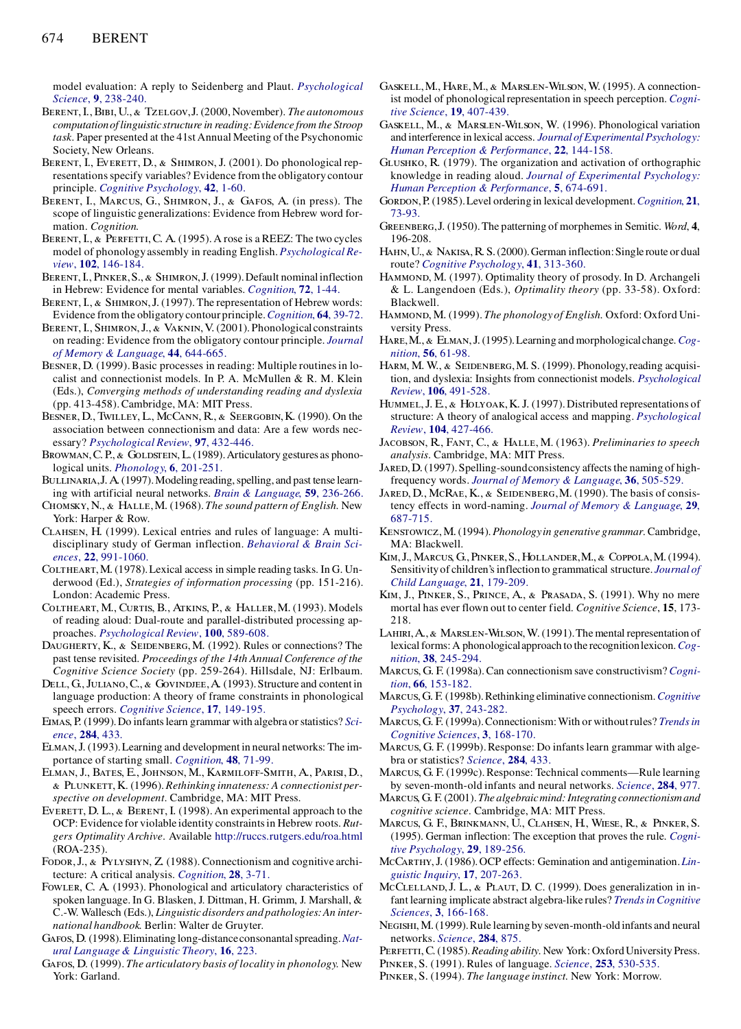model evaluation: A reply to Seidenberg and Plaut. *[Psychological](http://www.ingentaconnect.com/content/external-references?article=/0956-7976^28^299L.238[aid=2185413]) Science*, **9**[, 238-240.](http://www.ingentaconnect.com/content/external-references?article=/0956-7976^28^299L.238[aid=2185413])

- Berent, I., Bibi, U., & Tzelgov, J. (2000, November). *The autonomous computation of linguistic structure in reading: Evidence from the Stroop task*. Paper presented at the 41st Annual Meeting of the Psychonomic Society, New Orleans.
- BERENT, I., EVERETT, D., & SHIMRON, J. (2001). Do phonological representations specify variables? Evidence from the obligatory contour principle. *[Cognitive Psychology](http://www.ingentaconnect.com/content/external-references?article=/0010-0285^28^2942L.1[aid=2185414])*, **42**, 1-60.
- Berent, I., Marcus, G., Shimron, J., & Gafos, A. (in press). The scope of linguistic generalizations: Evidence from Hebrew word formation. *Cognition*.
- BERENT, I., & PERFETTI, C. A. (1995). A rose is a REEZ: The two cycles model of phonology assembly in reading English. *[Psychological Re](http://www.ingentaconnect.com/content/external-references?article=/0033-295X^28^29102L.146[aid=297895])view*, **102**[, 146-184.](http://www.ingentaconnect.com/content/external-references?article=/0033-295X^28^29102L.146[aid=297895])
- Berent, I., Pinker, S., & Shimron, J. (1999). Default nominal inflection in Hebrew: Evidence for mental variables. *[Cognition](http://www.ingentaconnect.com/content/external-references?article=/0010-0277^28^2972L.1[aid=1177019])*, **72**, 1-44.
- BERENT, I., & SHIMRON, J. (1997). The representation of Hebrew words: Evidence from the obligatory contour principle. *[Cognition](http://www.ingentaconnect.com/content/external-references?article=/0010-0277^28^2964L.39[aid=2185415])*, **64**, 39-72.
- BERENT, I., SHIMRON, J., & VAKNIN, V. (2001). Phonological constraints on reading: Evidence from the obligatory contour principle. *[Journal](http://www.ingentaconnect.com/content/external-references?article=/0749-596X^28^2944L.644[aid=2185416]) [of Memory & Language](http://www.ingentaconnect.com/content/external-references?article=/0749-596X^28^2944L.644[aid=2185416])*, **44**, 644-665.
- Besner, D. (1999). Basic processes in reading: Multiple routines in localist and connectionist models. In P. A. McMullen & R. M. Klein (Eds.), *Converging methods of understanding reading and dyslexia* (pp. 413-458). Cambridge, MA: MIT Press.
- Besner, D., Twilley, L., McCann, R., & Seergobin, K. (1990). On the association between connectionism and data: Are a few words nec essary? *[Psychological Review](http://www.ingentaconnect.com/content/external-references?article=/0033-295X^28^2997L.432[aid=303038])*, **97**, 432-446.
- BROWMAN, C. P., & GOLDSTEIN, L. (1989). Articulatory gestures as phonological units. *[Phonology](http://www.ingentaconnect.com/content/external-references?article=/0952-6757^28^296L.201[aid=214057])*, **6**, 201-251.
- BULLINARIA, J. A. (1997). Modeling reading, spelling, and past tense learning with artificial neural networks. *[Brain & Language](http://www.ingentaconnect.com/content/external-references?article=/0093-934X^28^2959L.236[aid=1158240])*, **59**, 236-266.
- Chomsky, N., & Halle, M. (1968). *The sound pattern of English*. New York: Harper & Row.
- Clahsen, H. (1999). Lexical entries and rules of language: A multidisciplinary study of German inflection. *[Behavioral & Brain Sci](http://www.ingentaconnect.com/content/external-references?article=/0140-525X^28^2922L.991[aid=303811]) ences*, **22**[, 991-1060.](http://www.ingentaconnect.com/content/external-references?article=/0140-525X^28^2922L.991[aid=303811])
- Coltheart, M. (1978). Lexical access in simple reading tasks. In G. Underwood (Ed.), *Strategies of information processing* (pp. 151-216). London: Academic Press.
- Coltheart, M., Curtis, B., Atkins, P., & Haller, M. (1993). Models of reading aloud: Dual-route and parallel-distributed processing approaches. *[Psychological Review](http://www.ingentaconnect.com/content/external-references?article=/0033-295X^28^29100L.589[aid=146486])*, **100**, 589-608.
- DAUGHERTY, K., & SEIDENBERG, M. (1992). Rules or connections? The past tense revisited. *Proceedings of the 14th Annual Conference of the Cognitive Science Society* (pp. 259-264). Hillsdale, NJ: Erlbaum.
- DELL, G., JULIANO, C., & GOVINDIEE, A. (1993). Structure and content in language production: A theory of frame constraints in phonological speech errors. *[Cognitive Science](http://www.ingentaconnect.com/content/external-references?article=/0364-0213^28^2917L.149[aid=302856])*, **17**, 149-195.
- Eimas, P. (1999). Do infants learn grammar with algebra or statistics? *[Sci](http://www.ingentaconnect.com/content/external-references?article=/0036-8075^28^29284L.433[aid=2185417]) ence*, **284**[, 433.](http://www.ingentaconnect.com/content/external-references?article=/0036-8075^28^29284L.433[aid=2185417])
- Elman, J. (1993). Learning and development in neural networks: The importance of starting small. *[Cognition](http://www.ingentaconnect.com/content/external-references?article=/0010-0277^28^2948L.71[aid=297008])*, **48**, 71-99.
- Elman, J., Bates, E., Johnson, M., Karmiloff-Smith, A., Parisi, D., & Plunkett, K. (1996). *Rethinking innateness: A connectionist perspective on development*. Cambridge, MA: MIT Press.
- EVERETT, D. L., & BERENT, I. (1998). An experimental approach to the OCP: Evidence for violable identity constraints in Hebrew roots. *Rutgers Optimality Archive*. Available <http://ruccs.rutgers.edu/roa.html> (ROA-235).
- FODOR, J., & PYLYSHYN, Z. (1988). Connectionism and cognitive architecture: A critical analysis. *[Cognition](http://www.ingentaconnect.com/content/external-references?article=/0010-0277^28^2928L.3[aid=57287])*, **28**, 3-71.
- Fowler, C. A. (1993). Phonological and articulatory characteristics of spoken language. In G. Blasken, J. Dittman, H. Grimm, J. Marshall, & C.-W. Wallesch (Eds.), *Linguistic disorders and pathologies: An international handbook*. Berlin: Walter de Gruyter.
- GAFOS, D. (1998). Eliminating long-distance consonantal spreading. [Nat](http://www.ingentaconnect.com/content/external-references?article=/0167-806X^28^2916L.223[aid=213936])*[ural Language & Linguistic Theory](http://www.ingentaconnect.com/content/external-references?article=/0167-806X^28^2916L.223[aid=213936])*, **16**, 223.
- GAFOS, D. (1999). The articulatory basis of locality in phonology. New York: Garland.
- Gaskell, M., Hare, M., & Marslen-Wilson, W. (1995). A connectionist model of phonological representation in speech perception. *[Cogni](http://www.ingentaconnect.com/content/external-references?article=/0364-0213^28^2919L.407[aid=1794876])[tive Science](http://www.ingentaconnect.com/content/external-references?article=/0364-0213^28^2919L.407[aid=1794876])*, **19**, 407-439.
- Gaskell, M., & Marslen-Wilson, W. (1996). Phonological variation and interference in lexical access. *[Journal of Experimental Psychology:](http://www.ingentaconnect.com/content/external-references?article=/0096-1523^28^2922L.144[aid=297465]) [Human Perception & Performance](http://www.ingentaconnect.com/content/external-references?article=/0096-1523^28^2922L.144[aid=297465])*, **22**, 144-158.
- GLUSHKO, R. (1979). The organization and activation of orthographic knowledge in reading aloud. *[Journal of Experimental Psychology:](http://www.ingentaconnect.com/content/external-references?article=/0096-1523^28^295L.674[aid=211102]) [Human Perception & Performance](http://www.ingentaconnect.com/content/external-references?article=/0096-1523^28^295L.674[aid=211102])*, **5**, 674-691.
- GORDON, P. (1985). Level ordering in lexical development. *[Cognition](http://www.ingentaconnect.com/content/external-references?article=/0010-0277^28^2921L.73[aid=303296])*, 21, [73-93.](http://www.ingentaconnect.com/content/external-references?article=/0010-0277^28^2921L.73[aid=303296])
- Greenberg, J. (1950). The patterning of morphemes in Semitic. *Word*, **4**, 196-208.
- HAHN, U., & NAKISA, R. S. (2000). German inflection: Single route or dual route? *[Cognitive Psychology](http://www.ingentaconnect.com/content/external-references?article=/0010-0285^28^2941L.313[aid=2185418])*, **41**, 313-360.
- HAMMOND, M. (1997). Optimality theory of prosody. In D. Archangeli & L. Langendoen (Eds.), *Optimality theory* (pp. 33-58). Oxford: Blackwell.
- Hammond, M. (1999). *The phonology of English*. Oxford: Oxford University Press.
- Hare, M., & Elman, J. (1995). Learning and morphological change. *[Cog](http://www.ingentaconnect.com/content/external-references?article=/0010-0277^28^2956L.61[aid=303263])nition*, **56**[, 61-98.](http://www.ingentaconnect.com/content/external-references?article=/0010-0277^28^2956L.61[aid=303263])
- HARM, M. W., & SEIDENBERG, M. S. (1999). Phonology, reading acquisition, and dyslexia: Insights from connectionist models. *[Psychological](http://www.ingentaconnect.com/content/external-references?article=/0033-295X^28^29106L.491[aid=853002]) Review*, **106**[, 491-528.](http://www.ingentaconnect.com/content/external-references?article=/0033-295X^28^29106L.491[aid=853002])
- HUMMEL, J. E., & HOLYOAK, K. J. (1997). Distributed representations of structure: A theory of analogical access and mapping. *[Psychological](http://www.ingentaconnect.com/content/external-references?article=/0033-295X^28^29104L.427[aid=310279]) Review*, **104**[, 427-466.](http://www.ingentaconnect.com/content/external-references?article=/0033-295X^28^29104L.427[aid=310279])
- Jacobson, R., Fant, C., & Halle, M. (1963). *Preliminaries to speech analysis*. Cambridge, MA: MIT Press.
- JARED, D. (1997). Spelling-sound consistency affects the naming of highfrequency words. *[Journal of Memory & Language](http://www.ingentaconnect.com/content/external-references?article=/0749-596X^28^2936L.505[aid=298820])*, **36**, 505-529.
- JARED, D., MCRAE, K., & SEIDENBERG, M. (1990). The basis of consistency effects in word-naming. *[Journal of Memory & Language](http://www.ingentaconnect.com/content/external-references?article=/0749-596X^28^2929L.687[aid=307550])*, **29**, [687-715.](http://www.ingentaconnect.com/content/external-references?article=/0749-596X^28^2929L.687[aid=307550])
- Kenstowicz, M. (1994). *Phonology in generative grammar*. Cambridge, MA: Blackwell.
- KIM, J., MARCUS, G., PINKER, S., HOLLANDER, M., & COPPOLA, M. (1994). Sensitivity of children's inflection to grammatical structure. *[Journal of](http://www.ingentaconnect.com/content/external-references?article=/0305-0009^28^2921L.179[aid=2185419]) [Child Language](http://www.ingentaconnect.com/content/external-references?article=/0305-0009^28^2921L.179[aid=2185419])*, **21**, 179-209.
- Kim, J., Pinker, S., Prince, A., & Prasada, S. (1991). Why no mere mortal has ever flown out to center field. *Cognitive Science*, **15**, 173- 218.
- LAHIRI, A., & MARSLEN-WILSON, W. (1991). The mental representation of lexical forms: A phonological approach to the recognition lexicon. *[Cog](http://www.ingentaconnect.com/content/external-references?article=/0010-0277^28^2938L.245[aid=303497])nition*, **38**[, 245-294.](http://www.ingentaconnect.com/content/external-references?article=/0010-0277^28^2938L.245[aid=303497])
- Marcus, G. F. (1998a). Can connectionism save constructivism? *[Cogni](http://www.ingentaconnect.com/content/external-references?article=/0010-0277^28^2966L.153[aid=303749])tion*, **66**[, 153-182.](http://www.ingentaconnect.com/content/external-references?article=/0010-0277^28^2966L.153[aid=303749])
- Marcus, G. F. (1998b). Rethinking eliminative connectionism. *[Cognitive](http://www.ingentaconnect.com/content/external-references?article=/0010-0285^28^2937L.243[aid=303750]) [Psychology](http://www.ingentaconnect.com/content/external-references?article=/0010-0285^28^2937L.243[aid=303750])*, **37**, 243-282.
- Marcus, G. F. (1999a). Connectionism: With or without rules? *[Trends in](http://www.ingentaconnect.com/content/external-references?article=/1364-6613^28^293L.168[aid=2185420]) [Cognitive Sciences](http://www.ingentaconnect.com/content/external-references?article=/1364-6613^28^293L.168[aid=2185420])*, **3**, 168-170.
- Marcus, G. F. (1999b). Response: Do infants learn grammar with algebra or statistics? *[Science](http://www.ingentaconnect.com/content/external-references?article=/0036-8075^28^29284L.433[aid=2185417])*, **284**, 433.
- Marcus, G. F. (1999c). Response: Technical comments—Rule learning by seven-month-old infants and neural networks. *[Science](http://www.ingentaconnect.com/content/external-references?article=/0036-8075^28^29284L.977[aid=2185411])*, **284**, 977.
- Marcus, G. F. (2001). *The algebraic mind: Integrating connectionism and cognitive science*. Cambridge, MA: MIT Press.
- Marcus, G. F., Brinkmann, U., Clahsen, H., Wiese, R., & Pinker, S. (1995). German inflection: The exception that proves the rule. *[Cogni](http://www.ingentaconnect.com/content/external-references?article=/0010-0285^28^2929L.189[aid=303093])[tive Psychology](http://www.ingentaconnect.com/content/external-references?article=/0010-0285^28^2929L.189[aid=303093])*, **29**, 189-256.
- McCarthy, J. (1986). OCP effects: Gemination and antigemination. *[Lin](http://www.ingentaconnect.com/content/external-references?article=/0024-3892^28^2917L.207[aid=211086])[guistic Inquiry](http://www.ingentaconnect.com/content/external-references?article=/0024-3892^28^2917L.207[aid=211086])*, **17**, 207-263.
- McClelland, J. L., & Plaut, D. C. (1999). Does generalization in infant learning implicate abstract algebra-like rules? *[Trends in Cognitive](http://www.ingentaconnect.com/content/external-references?article=/1364-6613^28^293L.166[aid=2185421]) Sciences*, **3**[, 166-168.](http://www.ingentaconnect.com/content/external-references?article=/1364-6613^28^293L.166[aid=2185421])
- Negishi, M.(1999). Rule learning by seven-month-old infants and neural networks. *[Science](http://www.ingentaconnect.com/content/external-references?article=/0036-8075^28^29284L.875[aid=890710])*, **284**, 875.

PERFETTI, C. (1985). *Reading ability*. New York: Oxford University Press.

- Pinker, S. (1991). Rules of language. *Science*, **253**[, 530-535.](http://www.ingentaconnect.com/content/external-references?article=/0036-8075^28^29253L.530[aid=302977])
- Pinker, S. (1994). *The language instinct*. New York: Morrow.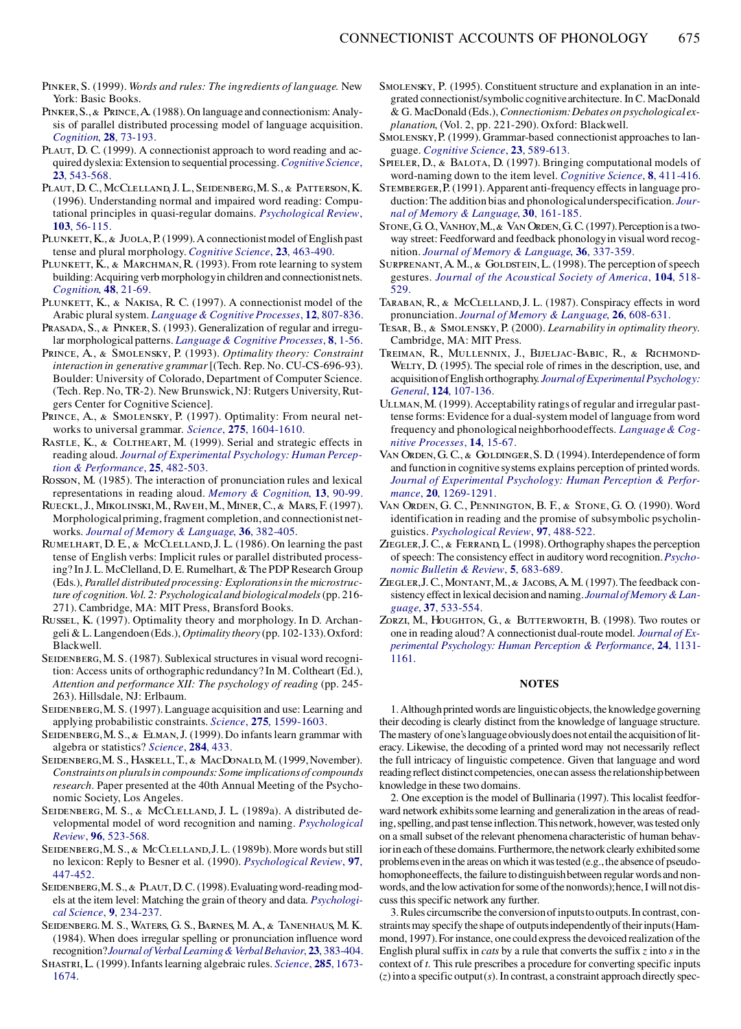- Pinker, S. (1999). *Words and rules: The ingredients of language*. New York: Basic Books.
- Pinker, S., & Prince, A. (1988). On language and connectionism: Analysis of parallel distributed processing model of language acquisition. *[Cognition](http://www.ingentaconnect.com/content/external-references?article=/0010-0277^28^2928L.73[aid=303094])*, **28**, 73-193.
- PLAUT, D. C. (1999). A connectionist approach to word reading and acquired dyslexia: Extension to sequential processing. *[Cognitive Science](http://www.ingentaconnect.com/content/external-references?article=/0364-0213^28^2923L.543[aid=1798254])*, **23**[, 543-568.](http://www.ingentaconnect.com/content/external-references?article=/0364-0213^28^2923L.543[aid=1798254])
- PLAUT, D. C., McCLELLAND, J. L., SEIDENBERG, M. S., & PATTERSON, K. (1996). Understanding normal and impaired word reading: Computational principles in quasi-regular domains. *[Psychological Review](http://www.ingentaconnect.com/content/external-references?article=/0033-295X^28^29103L.56[aid=18515])*, **103**[, 56-115.](http://www.ingentaconnect.com/content/external-references?article=/0033-295X^28^29103L.56[aid=18515])
- PLUNKETT, K., & JUOLA, P. (1999). A connectionist model of English past tense and plural morphology. *[Cognitive Science](http://www.ingentaconnect.com/content/external-references?article=/0364-0213^28^2923L.463[aid=1125065])*, **23**, 463-490.
- PLUNKETT, K., & MARCHMAN, R. (1993). From rote learning to system building: Acquiring verb morphology in children and connectionist nets. *[Cognition](http://www.ingentaconnect.com/content/external-references?article=/0010-0277^28^2948L.21[aid=302980])*, **48**, 21-69.
- PLUNKETT, K., & NAKISA, R. C. (1997). A connectionist model of the Arabic plural system. *[Language & Cognitive Processes](http://www.ingentaconnect.com/content/external-references?article=/0169-0965^28^2912L.807[aid=2185422])*, **12**, 807-836.
- PRASADA, S., & PINKER, S. (1993). Generalization of regular and irregular morphological patterns. *[Language & Cognitive Processes](http://www.ingentaconnect.com/content/external-references?article=/0169-0965^28^298L.1[aid=303095])*, **8**, 1-56.
- Prince, A., & Smolensky, P. (1993). *Optimality theory: Constraint interaction in generative grammar*[(Tech. Rep. No. CU-CS-696-93). Boulder: University of Colorado, Department of Computer Science. (Tech. Rep. No, TR-2). New Brunswick, NJ: Rutgers University, Rutgers Center for Cognitive Science].
- PRINCE, A., & SMOLENSKY, P. (1997). Optimality: From neural networks to universal grammar. *Science*, **275**[, 1604-1610.](http://www.ingentaconnect.com/content/external-references?article=/0036-8075^28^29275L.1604[aid=212424])
- Rastle, K., & Coltheart, M. (1999). Serial and strategic effects in reading aloud. *[Journal of Experimental Psychology: Human Percep](http://www.ingentaconnect.com/content/external-references?article=/0096-1523^28^2925L.482[aid=299396])[tion & Performance](http://www.ingentaconnect.com/content/external-references?article=/0096-1523^28^2925L.482[aid=299396])*, **25**, 482-503.
- Rosson, M. (1985). The interaction of pronunciation rules and lexical representations in reading aloud. *[Memory & Cognition](http://www.ingentaconnect.com/content/external-references?article=/0090-502X^28^2913L.90[aid=298829])*, **13**, 90-99.
- Rueckl, J., Mikolinski, M., Raveh, M., Miner, C., & Mars, F. (1997). Morphological priming, fragment completion, and connectionist networks. *[Journal of Memory & Language](http://www.ingentaconnect.com/content/external-references?article=/0749-596X^28^2936L.382[aid=303633])*, **36**, 382-405.
- RUMELHART, D. E., & McCLELLAND, J. L. (1986). On learning the past tense of English verbs: Implicit rules or parallel distributed processing? In J. L. McClelland, D. E. Rumelhart, & The PDP Research Group (Eds.), *Parallel distributed processing: Explorations in the microstructure of cognition. Vol. 2: Psychological and biological models*(pp. 216- 271). Cambridge, MA: MIT Press, Bransford Books.
- Russel, K. (1997). Optimality theory and morphology. In D. Archangeli & L. Langendoen (Eds.), *Optimality theory* (pp. 102-133). Oxford: Blackwell.
- SEIDENBERG, M. S. (1987). Sublexical structures in visual word recognition: Access units of orthographic redundancy? In M. Coltheart (Ed.), *Attention and performance XII: The psychology of reading* (pp. 245- 263). Hillsdale, NJ: Erlbaum.
- SEIDENBERG, M. S. (1997). Language acquisition and use: Learning and applying probabilistic constraints. *Science*, **275**[, 1599-1603.](http://www.ingentaconnect.com/content/external-references?article=/0036-8075^28^29275L.1599[aid=303759])
- SEIDENBERG, M. S., & ELMAN, J. (1999). Do infants learn grammar with algebra or statistics? *[Science](http://www.ingentaconnect.com/content/external-references?article=/0036-8075^28^29284L.433[aid=2185417])*, **284**, 433.
- SEIDENBERG, M. S., HASKELL, T., & MACDONALD, M. (1999, November). *Constraints on plurals in compounds: Some implications of compounds research*. Paper presented at the 40th Annual Meeting of the Psychonomic Society, Los Angeles.
- SEIDENBERG, M. S., & MCCLELLAND, J. L. (1989a). A distributed developmental model of word recognition and naming. *[Psychological](http://www.ingentaconnect.com/content/external-references?article=/0033-295X^28^2996L.523[aid=212427]) Review*, **96**[, 523-568.](http://www.ingentaconnect.com/content/external-references?article=/0033-295X^28^2996L.523[aid=212427])
- SEIDENBERG, M. S., & McCLELLAND, J. L. (1989b). More words but still no lexicon: Reply to Besner et al. (1990). *[Psychological Review](http://www.ingentaconnect.com/content/external-references?article=/0033-295X^28^2997L.447[aid=853004])*, **97**, [447-452.](http://www.ingentaconnect.com/content/external-references?article=/0033-295X^28^2997L.447[aid=853004])
- SEIDENBERG, M. S., & PLAUT, D. C. (1998). Evaluating word-reading models at the item level: Matching the grain of theory and data. *[Psychologi](http://www.ingentaconnect.com/content/external-references?article=/0956-7976^28^299L.234[aid=2185423])[cal Science](http://www.ingentaconnect.com/content/external-references?article=/0956-7976^28^299L.234[aid=2185423])*, **9**, 234-237.
- Seidenberg. M. S., Waters, G. S., Barnes, M. A., & Tanenhaus, M. K. (1984). When does irregular spelling or pronunciation influence word recognition? *[Journal of Verbal Learning & Verbal Behavior](http://www.ingentaconnect.com/content/external-references?article=/0022-5371^28^2923L.383[aid=890748])*, **23**, 383-404.
- Shastri, L. (1999). Infants learning algebraic rules. *[Science](http://www.ingentaconnect.com/content/external-references?article=/0036-8075^28^29285L.1673[aid=2185424])*, **285**, 1673- [1674.](http://www.ingentaconnect.com/content/external-references?article=/0036-8075^28^29285L.1673[aid=2185424])
- Smolensky, P. (1995). Constituent structure and explanation in an integrated connectionist/symbolic cognitive architecture. In C. MacDonald & G. MacDonald (Eds.), *Connectionism: Debates on psychological ex planation*, (Vol. 2, pp. 221-290). Oxford: Blackwell.
- Smolensky, P. (1999). Grammar-based connectionist approaches to language. *[Cognitive Science](http://www.ingentaconnect.com/content/external-references?article=/0364-0213^28^2923L.589[aid=2185425])*, **23**, 589-613.
- SPIELER, D., & BALOTA, D. (1997). Bringing computational models of word-naming down to the item level. *[Cognitive Science](http://www.ingentaconnect.com/content/external-references?article=/0364-0213^28^298L.411[aid=2185426])*, **8**, 411-416.
- STEMBERGER, P. (1991). Apparent anti-frequency effects in language production: The addition bias and phonological underspecification. *[Jour](http://www.ingentaconnect.com/content/external-references?article=/0749-596X^28^2930L.161[aid=145905])[nal of Memory & Language](http://www.ingentaconnect.com/content/external-references?article=/0749-596X^28^2930L.161[aid=145905])*, **30**, 161-185.
- STONE, G. O., VANHOY, M., & VAN ORDEN, G. C. (1997). Perception is a twoway street: Feedforward and feedback phonology in visual word recognition. *[Journal of Memory & Language](http://www.ingentaconnect.com/content/external-references?article=/0749-596X^28^2936L.337[aid=967035])*, **36**, 337-359.
- SURPRENANT, A. M., & GOLDSTEIN, L. (1998). The perception of speech gestures. *[Journal of the Acoustical Society of America](http://www.ingentaconnect.com/content/external-references?article=/0001-4966^28^29104L.518[aid=2185427])*, **104**, 518- [529.](http://www.ingentaconnect.com/content/external-references?article=/0001-4966^28^29104L.518[aid=2185427])
- TARABAN, R., & McCLELLAND, J. L. (1987). Conspiracy effects in word pronunciation. *[Journal of Memory & Language](http://www.ingentaconnect.com/content/external-references?article=/0749-596X^28^2926L.608[aid=303088])*, **26**, 608-631.
- Tesar, B., & Smolensky, P. (2000). *Learnability in optimality theory*. Cambridge, MA: MIT Press.
- Treiman, R., Mullennix, J., Bijeljac-Babic, R., & Richmond- WELTY, D. (1995). The special role of rimes in the description, use, and acquisition of English orthography. *[Journal of Experimental Psychology:](http://www.ingentaconnect.com/content/external-references?article=/0096-3445^28^29124L.107[aid=19754]) General*, **124**[, 107-136.](http://www.ingentaconnect.com/content/external-references?article=/0096-3445^28^29124L.107[aid=19754])
- ULLMAN, M. (1999). Acceptability ratings of regular and irregular pasttense forms: Evidence for a dual-system model of language from word frequency and phonological neighborhood effects. *[Language & Cog](http://www.ingentaconnect.com/content/external-references?article=/0169-0965^28^2914L.15[aid=2185428])[nitive Processes](http://www.ingentaconnect.com/content/external-references?article=/0169-0965^28^2914L.15[aid=2185428])*, **14**, 15-67.
- VAN ORDEN, G. C., & GOLDINGER, S. D. (1994). Interdependence of form and function in cognitive systems explains perception of printed words. *[Journal of Experimental Psychology: Human Perception & Perfor](http://www.ingentaconnect.com/content/external-references?article=/0096-1523^28^2920L.1269[aid=298830]) mance*, **20**[, 1269-1291.](http://www.ingentaconnect.com/content/external-references?article=/0096-1523^28^2920L.1269[aid=298830])
- Van Orden, G. C., Pennington, B. F., & Stone, G. O. (1990). Word identification in reading and the promise of subsymbolic psycholinguistics. *[Psychological Review](http://www.ingentaconnect.com/content/external-references?article=/0033-295X^28^2997L.488[aid=298831])*, **97**, 488-522.
- ZIEGLER, J. C., & FERRAND, L. (1998). Orthography shapes the perception of speech: The consistency effect in auditory word recognition. *[Psycho](http://www.ingentaconnect.com/content/external-references?article=/1069-9384^28^295L.683[aid=967036])[nomic Bulletin & Review](http://www.ingentaconnect.com/content/external-references?article=/1069-9384^28^295L.683[aid=967036])*, **5**, 683-689.
- ZIEGLER, J. C., MONTANT, M., & JACOBS, A. M. (1997). The feedback consistency effect in lexical decision and naming. *[Journal of Memory & Lan](http://www.ingentaconnect.com/content/external-references?article=/0749-596X^28^2937L.533[aid=967037])guage*, **37**[, 533-554.](http://www.ingentaconnect.com/content/external-references?article=/0749-596X^28^2937L.533[aid=967037])
- Zorzi, M., Houghton, G., & Butterworth, B. (1998). Two routes or one in reading aloud? A connectionist dual-route model. *[Journal of Ex](http://www.ingentaconnect.com/content/external-references?article=/0096-1523^28^2924L.1131[aid=299399])[perimental Psychology: Human Perception & Performance](http://www.ingentaconnect.com/content/external-references?article=/0096-1523^28^2924L.1131[aid=299399])*, **24**, 1131- [1161.](http://www.ingentaconnect.com/content/external-references?article=/0096-1523^28^2924L.1131[aid=299399])

## **NOTES**

1. Although printed words are linguistic objects, the knowledge governing their decoding is clearly distinct from the knowledge of language structure. The mastery of one's language obviously does not entail the acquisition of literacy. Likewise, the decoding of a printed word may not necessarily reflect the full intricacy of linguistic competence. Given that language and word reading reflect distinct competencies, one can assess the relationship between knowledge in these two domains.

2. One exception is the model of Bullinaria (1997). This localist feedforward network exhibits some learning and generalization in the areas of reading, spelling, and past tense inflection. This network, however,was tested only on a small subset of the relevant phenomena characteristic of human behavior in each of these domains. Furthermore, the network clearly exhibited some problems even in the areas on which it was tested (e.g., the absence of pseudohomophone effects, the failure to distinguish between regular words and non words, and the low activation for some of the nonwords); hence, I will not dis cuss this specific network any further.

3. Rules circumscribe the conversion of inputs to outputs. In contrast, con straints may specify the shape of outputs independently of their inputs (Hammond, 1997). For instance, one could express the devoiced realization of the English plural suffix in *cats* by a rule that converts the suffix *z* into *s* in the context of *t*. This rule prescribes a procedure for converting specific inputs (*z*) into a specific output (*s*). In contrast, a constraint approach directly spec